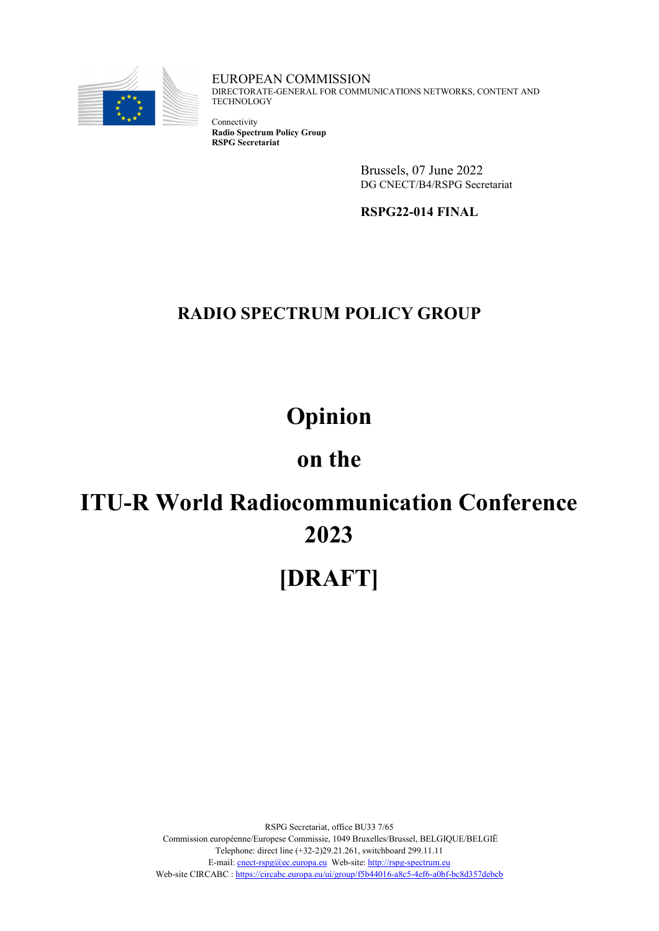

EUROPEAN COMMISSION DIRECTORATE-GENERAL FOR COMMUNICATIONS NETWORKS, CONTENT AND **TECHNOLOGY** 

Connectivity **Radio Spectrum Policy Group RSPG Secretariat**

> Brussels, 07 June 2022 DG CNECT/B4/RSPG Secretariat

**RSPG22-014 FINAL**

# **RADIO SPECTRUM POLICY GROUP**

# **Opinion**

# **on the**

# **ITU-R World Radiocommunication Conference 2023**

# **[DRAFT]**

RSPG Secretariat, office BU33 7/65 Commission européenne/Europese Commissie, 1049 Bruxelles/Brussel, BELGIQUE/BELGIË Telephone: direct line (+32-2)29.21.261, switchboard 299.11.11 E-mail[: cnect-rspg@ec.europa.eu](mailto:cnect-rspg@ec.europa.eu) Web-site[: http://rspg-spectrum.eu](http://rspg-spectrum.eu/) Web-site CIRCABC : https://circabc.europa.eu/ui/group/f5b44016-a8c5-4ef6-a0bf-bc8d357debcb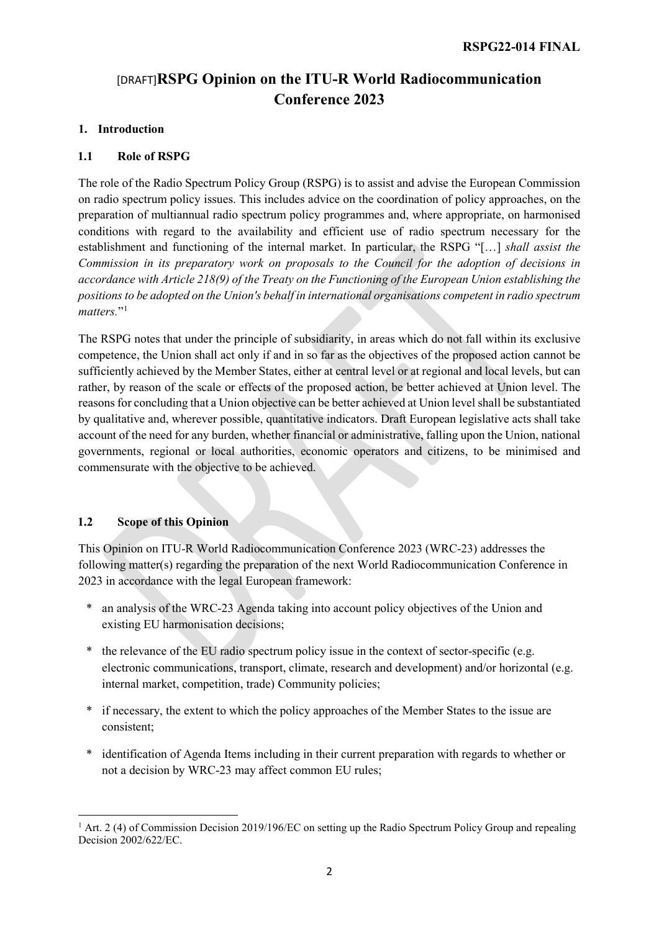## [DRAFT]**RSPG Opinion on the ITU-R World Radiocommunication Conference 2023**

#### **1. Introduction**

#### **1.1 Role of RSPG**

The role of the Radio Spectrum Policy Group (RSPG) is to assist and advise the European Commission on radio spectrum policy issues. This includes advice on the coordination of policy approaches, on the preparation of multiannual radio spectrum policy programmes and, where appropriate, on harmonised conditions with regard to the availability and efficient use of radio spectrum necessary for the establishment and functioning of the internal market. In particular, the RSPG "[…] *shall assist the Commission in its preparatory work on proposals to the Council for the adoption of decisions in accordance with Article 218(9) of the Treaty on the Functioning of the European Union establishing the positions to be adopted on the Union's behalf in international organisations competent in radio spectrum*  matters."<sup>[1](#page-1-0)</sup>

The RSPG notes that under the principle of subsidiarity, in areas which do not fall within its exclusive competence, the Union shall act only if and in so far as the objectives of the proposed action cannot be sufficiently achieved by the Member States, either at central level or at regional and local levels, but can rather, by reason of the scale or effects of the proposed action, be better achieved at Union level. The reasons for concluding that a Union objective can be better achieved at Union level shall be substantiated by qualitative and, wherever possible, quantitative indicators. Draft European legislative acts shall take account of the need for any burden, whether financial or administrative, falling upon the Union, national governments, regional or local authorities, economic operators and citizens, to be minimised and commensurate with the objective to be achieved.

#### **1.2 Scope of this Opinion**

l

This Opinion on ITU-R World Radiocommunication Conference 2023 (WRC-23) addresses the following matter(s) regarding the preparation of the next World Radiocommunication Conference in 2023 in accordance with the legal European framework:

- an analysis of the WRC-23 Agenda taking into account policy objectives of the Union and existing EU harmonisation decisions;
- the relevance of the EU radio spectrum policy issue in the context of sector-specific (e.g. electronic communications, transport, climate, research and development) and/or horizontal (e.g. internal market, competition, trade) Community policies;
- \* if necessary, the extent to which the policy approaches of the Member States to the issue are consistent;
- \* identification of Agenda Items including in their current preparation with regards to whether or not a decision by WRC-23 may affect common EU rules;

<span id="page-1-0"></span><sup>&</sup>lt;sup>1</sup> Art. 2 (4) of Commission Decision 2019/196/EC on setting up the Radio Spectrum Policy Group and repealing Decision 2002/622/EC.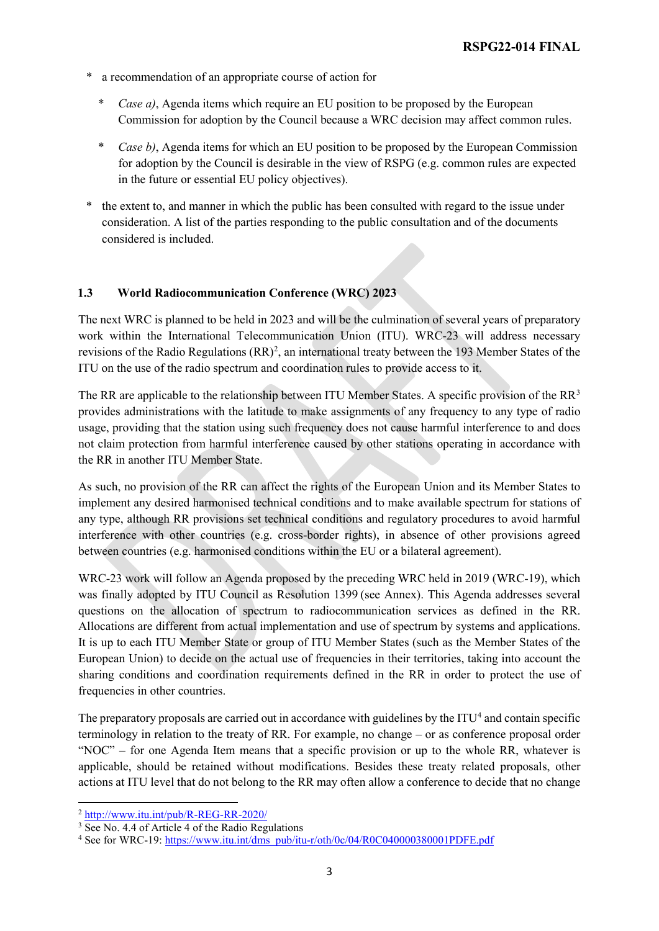- a recommendation of an appropriate course of action for
	- \* *Case a)*, Agenda items which require an EU position to be proposed by the European Commission for adoption by the Council because a WRC decision may affect common rules.
	- \* *Case b)*, Agenda items for which an EU position to be proposed by the European Commission for adoption by the Council is desirable in the view of RSPG (e.g. common rules are expected in the future or essential EU policy objectives).
- the extent to, and manner in which the public has been consulted with regard to the issue under consideration. A list of the parties responding to the public consultation and of the documents considered is included.

#### **1.3 World Radiocommunication Conference (WRC) 2023**

The next WRC is planned to be held in 2023 and will be the culmination of several years of preparatory work within the International Telecommunication Union (ITU). WRC-23 will address necessary revisions of the Radio Regulations (RR)<sup>[2](#page-2-0)</sup>, an international treaty between the 193 Member States of the ITU on the use of the radio spectrum and coordination rules to provide access to it.

The RR are applicable to the relationship between ITU Member States. A specific provision of the  $RR<sup>3</sup>$  $RR<sup>3</sup>$  $RR<sup>3</sup>$ provides administrations with the latitude to make assignments of any frequency to any type of radio usage, providing that the station using such frequency does not cause harmful interference to and does not claim protection from harmful interference caused by other stations operating in accordance with the RR in another ITU Member State.

As such, no provision of the RR can affect the rights of the European Union and its Member States to implement any desired harmonised technical conditions and to make available spectrum for stations of any type, although RR provisions set technical conditions and regulatory procedures to avoid harmful interference with other countries (e.g. cross-border rights), in absence of other provisions agreed between countries (e.g. harmonised conditions within the EU or a bilateral agreement).

WRC-23 work will follow an Agenda proposed by the preceding WRC held in 2019 (WRC-19), which was finally adopted by ITU Council as Resolution 1399 (see Annex). This Agenda addresses several questions on the allocation of spectrum to radiocommunication services as defined in the RR. Allocations are different from actual implementation and use of spectrum by systems and applications. It is up to each ITU Member State or group of ITU Member States (such as the Member States of the European Union) to decide on the actual use of frequencies in their territories, taking into account the sharing conditions and coordination requirements defined in the RR in order to protect the use of frequencies in other countries.

The preparatory proposals are carried out in accordance with guidelines by the  $ITU<sup>4</sup>$  $ITU<sup>4</sup>$  $ITU<sup>4</sup>$  and contain specific terminology in relation to the treaty of RR. For example, no change – or as conference proposal order "NOC" – for one Agenda Item means that a specific provision or up to the whole RR, whatever is applicable, should be retained without modifications. Besides these treaty related proposals, other actions at ITU level that do not belong to the RR may often allow a conference to decide that no change

<span id="page-2-0"></span><sup>2</sup> <http://www.itu.int/pub/R-REG-RR-2020/>

<span id="page-2-1"></span><sup>&</sup>lt;sup>3</sup> See No. 4.4 of Article 4 of the Radio Regulations

<span id="page-2-2"></span><sup>4</sup> See for WRC-19: [https://www.itu.int/dms\\_pub/itu-r/oth/0c/04/R0C040000380001PDFE.pdf](https://www.itu.int/dms_pub/itu-r/oth/0c/04/R0C040000380001PDFE.pdf)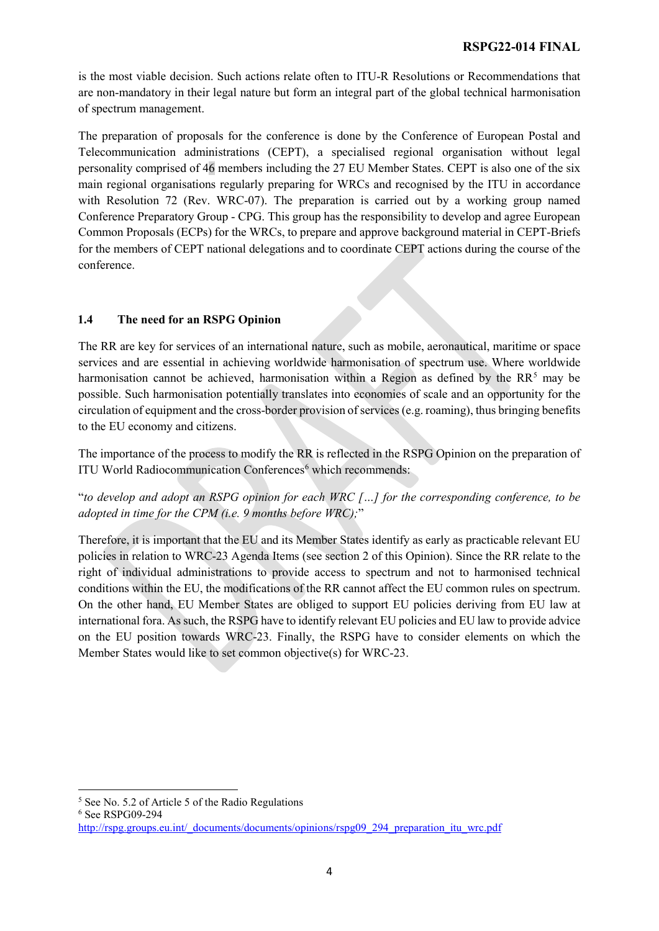is the most viable decision. Such actions relate often to ITU-R Resolutions or Recommendations that are non-mandatory in their legal nature but form an integral part of the global technical harmonisation of spectrum management.

The preparation of proposals for the conference is done by the Conference of European Postal and Telecommunication administrations (CEPT), a specialised regional organisation without legal personality comprised of 46 members including the 27 EU Member States. CEPT is also one of the six main regional organisations regularly preparing for WRCs and recognised by the ITU in accordance with Resolution 72 (Rev. WRC-07). The preparation is carried out by a working group named Conference Preparatory Group - CPG. This group has the responsibility to develop and agree European Common Proposals (ECPs) for the WRCs, to prepare and approve background material in CEPT-Briefs for the members of CEPT national delegations and to coordinate CEPT actions during the course of the conference.

#### **1.4 The need for an RSPG Opinion**

The RR are key for services of an international nature, such as mobile, aeronautical, maritime or space services and are essential in achieving worldwide harmonisation of spectrum use. Where worldwide harmonisation cannot be achieved, harmonisation within a Region as defined by the  $RR<sup>5</sup>$  $RR<sup>5</sup>$  $RR<sup>5</sup>$  may be possible. Such harmonisation potentially translates into economies of scale and an opportunity for the circulation of equipment and the cross-border provision of services(e.g. roaming), thus bringing benefits to the EU economy and citizens.

The importance of the process to modify the RR is reflected in the RSPG Opinion on the preparation of ITU World Radiocommunication Conferences<sup>[6](#page-3-1)</sup> which recommends:

"*to develop and adopt an RSPG opinion for each WRC […] for the corresponding conference, to be adopted in time for the CPM (i.e. 9 months before WRC);*"

Therefore, it is important that the EU and its Member States identify as early as practicable relevant EU policies in relation to WRC-23 Agenda Items (see section 2 of this Opinion). Since the RR relate to the right of individual administrations to provide access to spectrum and not to harmonised technical conditions within the EU, the modifications of the RR cannot affect the EU common rules on spectrum. On the other hand, EU Member States are obliged to support EU policies deriving from EU law at international fora. As such, the RSPG have to identify relevant EU policies and EU law to provide advice on the EU position towards WRC-23. Finally, the RSPG have to consider elements on which the Member States would like to set common objective(s) for WRC-23.

<span id="page-3-1"></span><sup>6</sup> See RSPG09-294

<span id="page-3-0"></span><sup>5</sup> See No. 5.2 of Article 5 of the Radio Regulations

[http://rspg.groups.eu.int/\\_documents/documents/opinions/rspg09\\_294\\_preparation\\_itu\\_wrc.pdf](http://rspg.groups.eu.int/_documents/documents/opinions/rspg09_294_preparation_itu_wrc.pdf)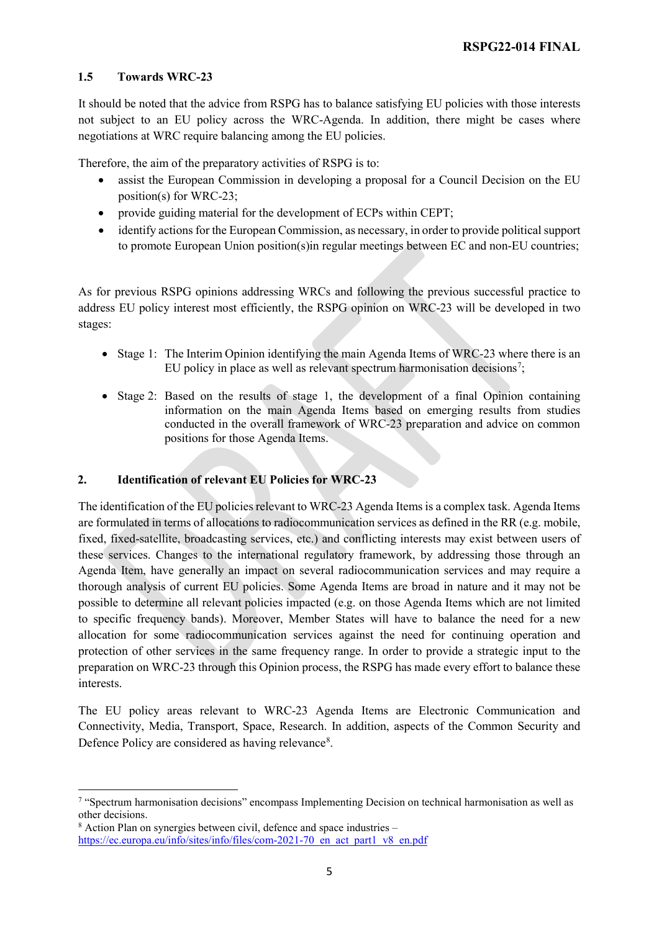#### **1.5 Towards WRC-23**

It should be noted that the advice from RSPG has to balance satisfying EU policies with those interests not subject to an EU policy across the WRC-Agenda. In addition, there might be cases where negotiations at WRC require balancing among the EU policies.

Therefore, the aim of the preparatory activities of RSPG is to:

- assist the European Commission in developing a proposal for a Council Decision on the EU position(s) for WRC-23;
- provide guiding material for the development of ECPs within CEPT;
- identify actions for the European Commission, as necessary, in order to provide political support to promote European Union position(s)in regular meetings between EC and non-EU countries;

As for previous RSPG opinions addressing WRCs and following the previous successful practice to address EU policy interest most efficiently, the RSPG opinion on WRC-23 will be developed in two stages:

- Stage 1: The Interim Opinion identifying the main Agenda Items of WRC-23 where there is an EU policy in place as well as relevant spectrum harmonisation decisions<sup>[7](#page-4-0)</sup>;
- Stage 2: Based on the results of stage 1, the development of a final Opinion containing information on the main Agenda Items based on emerging results from studies conducted in the overall framework of WRC-23 preparation and advice on common positions for those Agenda Items.

#### **2. Identification of relevant EU Policies for WRC-23**

The identification of the EU policies relevant to WRC-23 Agenda Items is a complex task. Agenda Items are formulated in terms of allocations to radiocommunication services as defined in the RR (e.g. mobile, fixed, fixed-satellite, broadcasting services, etc.) and conflicting interests may exist between users of these services. Changes to the international regulatory framework, by addressing those through an Agenda Item, have generally an impact on several radiocommunication services and may require a thorough analysis of current EU policies. Some Agenda Items are broad in nature and it may not be possible to determine all relevant policies impacted (e.g. on those Agenda Items which are not limited to specific frequency bands). Moreover, Member States will have to balance the need for a new allocation for some radiocommunication services against the need for continuing operation and protection of other services in the same frequency range. In order to provide a strategic input to the preparation on WRC-23 through this Opinion process, the RSPG has made every effort to balance these interests.

The EU policy areas relevant to WRC-23 Agenda Items are Electronic Communication and Connectivity, Media, Transport, Space, Research. In addition, aspects of the Common Security and Defence Policy are considered as having relevance<sup>[8](#page-4-1)</sup>.

<span id="page-4-0"></span><sup>7</sup> "Spectrum harmonisation decisions" encompass Implementing Decision on technical harmonisation as well as other decisions.

<span id="page-4-1"></span> $8$  Action Plan on synergies between civil, defence and space industries  $$ [https://ec.europa.eu/info/sites/info/files/com-2021-70\\_en\\_act\\_part1\\_v8\\_en.pdf](htpps://ec.europa.eu/info/sites/info/files/com-2021-70_en_act_part1_v8_en.pdf)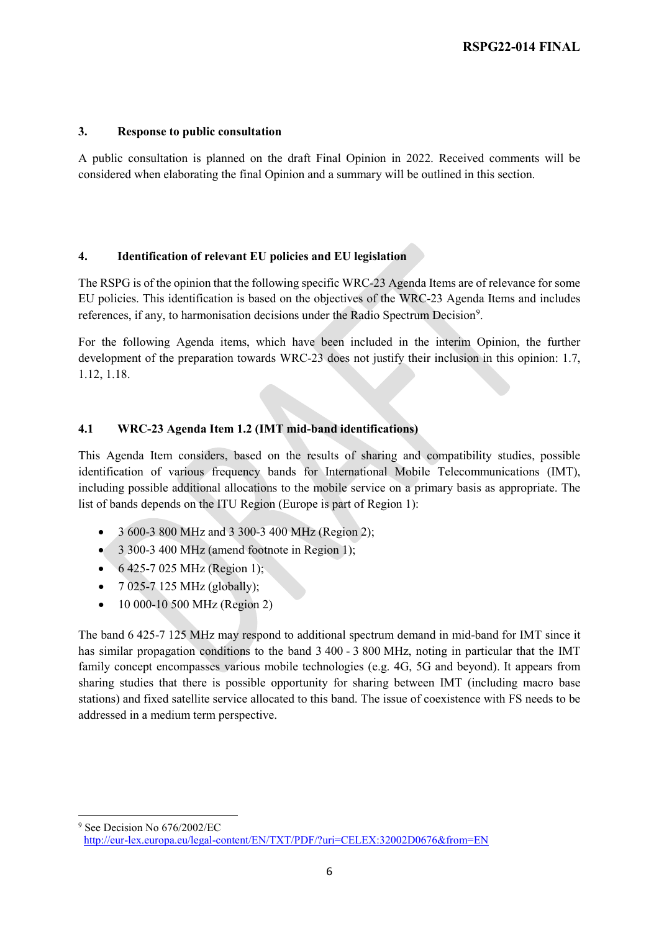#### **3. Response to public consultation**

A public consultation is planned on the draft Final Opinion in 2022. Received comments will be considered when elaborating the final Opinion and a summary will be outlined in this section.

#### **4. Identification of relevant EU policies and EU legislation**

The RSPG is of the opinion that the following specific WRC-23 Agenda Items are of relevance for some EU policies. This identification is based on the objectives of the WRC-23 Agenda Items and includes references, if any, to harmonisation decisions under the Radio Spectrum Decision<sup>[9](#page-5-0)</sup>.

For the following Agenda items, which have been included in the interim Opinion, the further development of the preparation towards WRC-23 does not justify their inclusion in this opinion: 1.7, 1.12, 1.18.

#### **4.1 WRC-23 Agenda Item 1.2 (IMT mid-band identifications)**

This Agenda Item considers, based on the results of sharing and compatibility studies, possible identification of various frequency bands for International Mobile Telecommunications (IMT), including possible additional allocations to the mobile service on a primary basis as appropriate. The list of bands depends on the ITU Region (Europe is part of Region 1):

- 3 600-3 800 MHz and 3 300-3 400 MHz (Region 2);
- 3 300-3 400 MHz (amend footnote in Region 1);
- $6425-7025 \text{ MHz}$  (Region 1);
- $7025 7125$  MHz (globally);
- 10 000-10 500 MHz (Region 2)

The band 6 425-7 125 MHz may respond to additional spectrum demand in mid-band for IMT since it has similar propagation conditions to the band 3 400 - 3 800 MHz, noting in particular that the IMT family concept encompasses various mobile technologies (e.g. 4G, 5G and beyond). It appears from sharing studies that there is possible opportunity for sharing between IMT (including macro base stations) and fixed satellite service allocated to this band. The issue of coexistence with FS needs to be addressed in a medium term perspective.

<span id="page-5-0"></span>l <sup>9</sup> See Decision No 676/2002/EC

<http://eur-lex.europa.eu/legal-content/EN/TXT/PDF/?uri=CELEX:32002D0676&from=EN>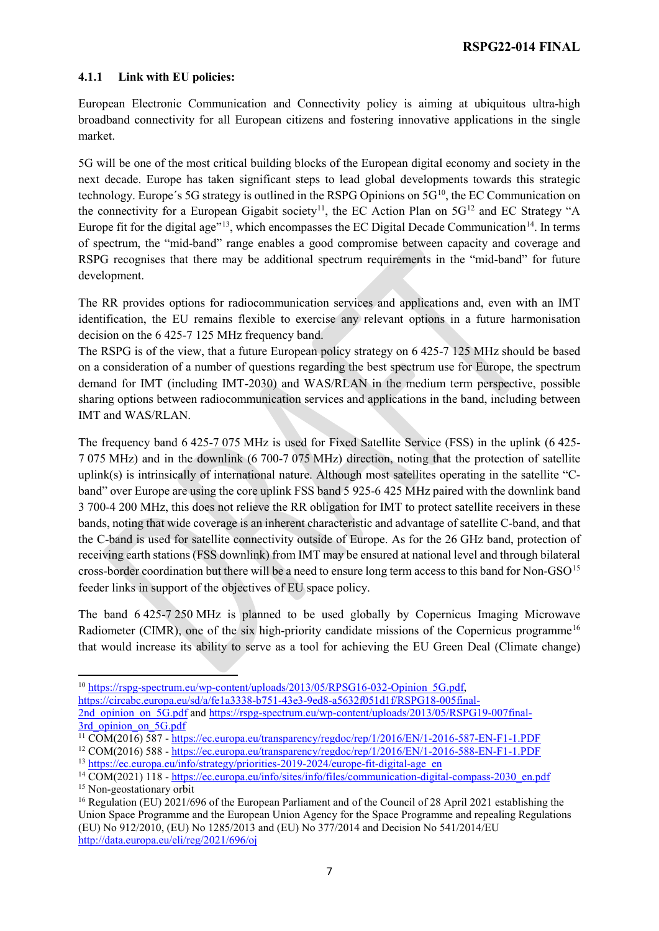#### **4.1.1 Link with EU policies:**

European Electronic Communication and Connectivity policy is aiming at ubiquitous ultra-high broadband connectivity for all European citizens and fostering innovative applications in the single market.

5G will be one of the most critical building blocks of the European digital economy and society in the next decade. Europe has taken significant steps to lead global developments towards this strategic technology. Europe's 5G strategy is outlined in the RSPG Opinions on  $5<sup>10</sup>$  $5<sup>10</sup>$  $5<sup>10</sup>$ , the EC Communication on the connectivity for a European Gigabit society<sup>11</sup>, the EC Action Plan on  $5G<sup>12</sup>$  $5G<sup>12</sup>$  $5G<sup>12</sup>$  and EC Strategy "A Europe fit for the digital age"<sup>13</sup>, which encompasses the EC Digital Decade Communication<sup>14</sup>. In terms of spectrum, the "mid-band" range enables a good compromise between capacity and coverage and RSPG recognises that there may be additional spectrum requirements in the "mid-band" for future development.

The RR provides options for radiocommunication services and applications and, even with an IMT identification, the EU remains flexible to exercise any relevant options in a future harmonisation decision on the 6 425-7 125 MHz frequency band.

The RSPG is of the view, that a future European policy strategy on 6 425-7 125 MHz should be based on a consideration of a number of questions regarding the best spectrum use for Europe, the spectrum demand for IMT (including IMT-2030) and WAS/RLAN in the medium term perspective, possible sharing options between radiocommunication services and applications in the band, including between IMT and WAS/RLAN.

The frequency band 6 425-7 075 MHz is used for Fixed Satellite Service (FSS) in the uplink (6 425- 7 075 MHz) and in the downlink (6 700-7 075 MHz) direction, noting that the protection of satellite uplink(s) is intrinsically of international nature. Although most satellites operating in the satellite "Cband" over Europe are using the core uplink FSS band 5 925-6 425 MHz paired with the downlink band 3 700-4 200 MHz, this does not relieve the RR obligation for IMT to protect satellite receivers in these bands, noting that wide coverage is an inherent characteristic and advantage of satellite C-band, and that the C-band is used for satellite connectivity outside of Europe. As for the 26 GHz band, protection of receiving earth stations (FSS downlink) from IMT may be ensured at national level and through bilateral cross-border coordination but there will be a need to ensure long term access to this band for Non-GSO<sup>[15](#page-6-5)</sup> feeder links in support of the objectives of EU space policy.

The band 6 425-7 250 MHz is planned to be used globally by Copernicus Imaging Microwave Radiometer (CIMR), one of the six high-priority candidate missions of the Copernicus programme<sup>[16](#page-6-6)</sup> that would increase its ability to serve as a tool for achieving the EU Green Deal (Climate change)

<span id="page-6-0"></span><sup>&</sup>lt;sup>10</sup> https://rspg-spectrum.eu/wp-content/uploads/2013/05/RPSG16-032-Opinion 5G.pdf, [https://circabc.europa.eu/sd/a/fe1a3338-b751-43e3-9ed8-a5632f051d1f/RSPG18-005final-](https://circabc.europa.eu/sd/a/fe1a3338-b751-43e3-9ed8-a5632f051d1f/RSPG18-005final-2nd_opinion_on_5G.pdf)[2nd\\_opinion\\_on\\_5G.pdf](https://circabc.europa.eu/sd/a/fe1a3338-b751-43e3-9ed8-a5632f051d1f/RSPG18-005final-2nd_opinion_on_5G.pdf) and [https://rspg-spectrum.eu/wp-content/uploads/2013/05/RSPG19-007final-](https://rspg-spectrum.eu/wp-content/uploads/2013/05/RSPG19-007final-3rd_opinion_on_5G.pdf)[3rd\\_opinion\\_on\\_5G.pdf](https://rspg-spectrum.eu/wp-content/uploads/2013/05/RSPG19-007final-3rd_opinion_on_5G.pdf)

<span id="page-6-1"></span><sup>11</sup> COM(2016) 587 - <https://ec.europa.eu/transparency/regdoc/rep/1/2016/EN/1-2016-587-EN-F1-1.PDF>

<span id="page-6-2"></span><sup>12</sup> COM(2016) 588 - <https://ec.europa.eu/transparency/regdoc/rep/1/2016/EN/1-2016-588-EN-F1-1.PDF>

<span id="page-6-3"></span><sup>&</sup>lt;sup>13</sup> [https://ec.europa.eu/info/strategy/priorities-2019-2024/europe-fit-digital-age\\_en](https://ec.europa.eu/info/strategy/priorities-2019-2024/europe-fit-digital-age_en)

<span id="page-6-4"></span><sup>&</sup>lt;sup>14</sup> COM(2021) 118 - [https://ec.europa.eu/info/sites/info/files/communication-digital-compass-2030\\_en.pdf](https://ec.europa.eu/info/sites/info/files/communication-digital-compass-2030_en.pdf)

<span id="page-6-5"></span><sup>&</sup>lt;sup>15</sup> Non-geostationary orbit

<span id="page-6-6"></span><sup>16</sup> Regulation (EU) 2021/696 of the European Parliament and of the Council of 28 April 2021 establishing the Union Space Programme and the European Union Agency for the Space Programme and repealing Regulations (EU) No 912/2010, (EU) No 1285/2013 and (EU) No 377/2014 and Decision No 541/2014/EU <http://data.europa.eu/eli/reg/2021/696/oj>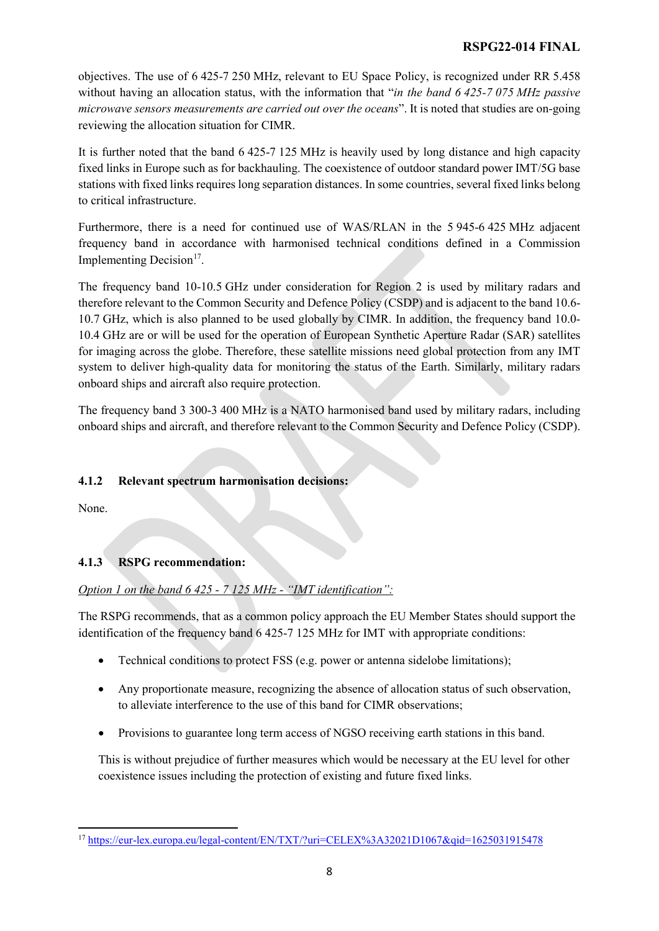#### **RSPG22-014 FINAL**

objectives. The use of 6 425-7 250 MHz, relevant to EU Space Policy, is recognized under RR 5.458 without having an allocation status, with the information that "*in the band 6 425-7 075 MHz passive microwave sensors measurements are carried out over the oceans*". It is noted that studies are on-going reviewing the allocation situation for CIMR.

It is further noted that the band 6 425-7 125 MHz is heavily used by long distance and high capacity fixed links in Europe such as for backhauling. The coexistence of outdoor standard power IMT/5G base stations with fixed links requires long separation distances. In some countries, several fixed links belong to critical infrastructure.

Furthermore, there is a need for continued use of WAS/RLAN in the 5 945-6 425 MHz adjacent frequency band in accordance with harmonised technical conditions defined in a Commission Implementing Decision<sup>17</sup>.

The frequency band 10-10.5 GHz under consideration for Region 2 is used by military radars and therefore relevant to the Common Security and Defence Policy (CSDP) and is adjacent to the band 10.6- 10.7 GHz, which is also planned to be used globally by CIMR. In addition, the frequency band 10.0- 10.4 GHz are or will be used for the operation of European Synthetic Aperture Radar (SAR) satellites for imaging across the globe. Therefore, these satellite missions need global protection from any IMT system to deliver high-quality data for monitoring the status of the Earth. Similarly, military radars onboard ships and aircraft also require protection.

The frequency band 3 300-3 400 MHz is a NATO harmonised band used by military radars, including onboard ships and aircraft, and therefore relevant to the Common Security and Defence Policy (CSDP).

#### **4.1.2 Relevant spectrum harmonisation decisions:**

None.

 $\overline{a}$ 

#### **4.1.3 RSPG recommendation:**

#### *Option 1 on the band 6 425 - 7 125 MHz - "IMT identification":*

The RSPG recommends, that as a common policy approach the EU Member States should support the identification of the frequency band 6 425-7 125 MHz for IMT with appropriate conditions:

- Technical conditions to protect FSS (e.g. power or antenna sidelobe limitations);
- Any proportionate measure, recognizing the absence of allocation status of such observation, to alleviate interference to the use of this band for CIMR observations;
- Provisions to guarantee long term access of NGSO receiving earth stations in this band.

This is without prejudice of further measures which would be necessary at the EU level for other coexistence issues including the protection of existing and future fixed links.

<span id="page-7-0"></span><sup>17</sup> <https://eur-lex.europa.eu/legal-content/EN/TXT/?uri=CELEX%3A32021D1067&qid=1625031915478>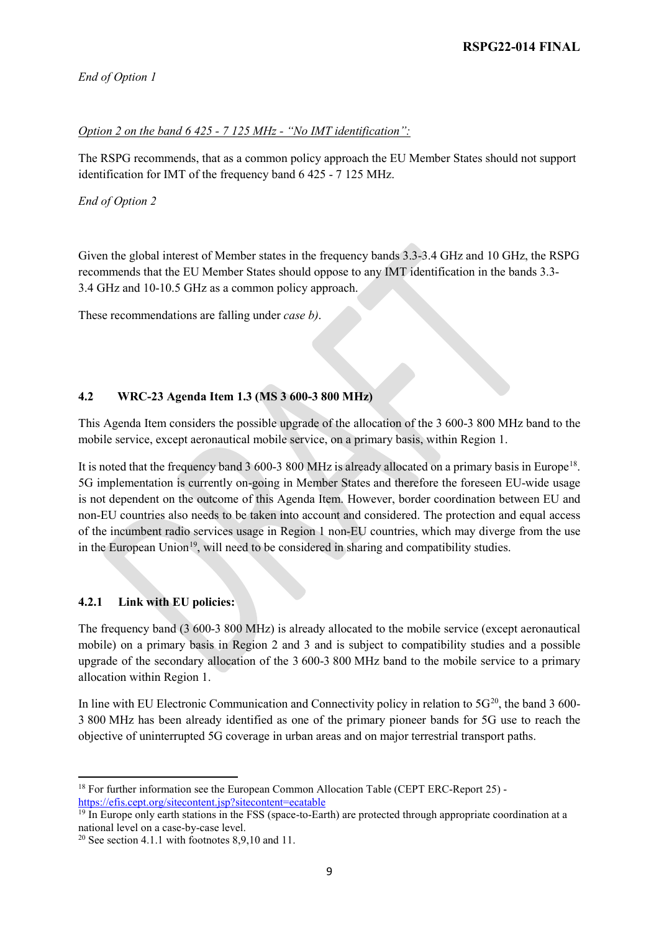*End of Option 1*

#### *Option 2 on the band 6 425 - 7 125 MHz - "No IMT identification":*

The RSPG recommends, that as a common policy approach the EU Member States should not support identification for IMT of the frequency band 6 425 - 7 125 MHz.

*End of Option 2*

Given the global interest of Member states in the frequency bands 3.3-3.4 GHz and 10 GHz, the RSPG recommends that the EU Member States should oppose to any IMT identification in the bands 3.3- 3.4 GHz and 10-10.5 GHz as a common policy approach.

These recommendations are falling under *case b)*.

#### **4.2 WRC-23 Agenda Item 1.3 (MS 3 600-3 800 MHz)**

This Agenda Item considers the possible upgrade of the allocation of the 3 600-3 800 MHz band to the mobile service, except aeronautical mobile service, on a primary basis, within Region 1.

It is noted that the frequency band 3 600-3 800 MHz is already allocated on a primary basis in Europe[18.](#page-8-0) 5G implementation is currently on-going in Member States and therefore the foreseen EU-wide usage is not dependent on the outcome of this Agenda Item. However, border coordination between EU and non-EU countries also needs to be taken into account and considered. The protection and equal access of the incumbent radio services usage in Region 1 non-EU countries, which may diverge from the use in the European Union<sup>[19](#page-8-1)</sup>, will need to be considered in sharing and compatibility studies.

#### **4.2.1 Link with EU policies:**

l

The frequency band (3 600-3 800 MHz) is already allocated to the mobile service (except aeronautical mobile) on a primary basis in Region 2 and 3 and is subject to compatibility studies and a possible upgrade of the secondary allocation of the 3 600-3 800 MHz band to the mobile service to a primary allocation within Region 1.

In line with EU Electronic Communication and Connectivity policy in relation to  $5G^{20}$  $5G^{20}$  $5G^{20}$ , the band 3 600-3 800 MHz has been already identified as one of the primary pioneer bands for 5G use to reach the objective of uninterrupted 5G coverage in urban areas and on major terrestrial transport paths.

<span id="page-8-0"></span><sup>&</sup>lt;sup>18</sup> For further information see the European Common Allocation Table (CEPT ERC-Report 25) <https://efis.cept.org/sitecontent.jsp?sitecontent=ecatable>

<span id="page-8-1"></span><sup>&</sup>lt;sup>19</sup> In Europe only earth stations in the FSS (space-to-Earth) are protected through appropriate coordination at a national level on a case-by-case level.

<span id="page-8-2"></span><sup>&</sup>lt;sup>20</sup> See section 4.1.1 with footnotes  $8,9,10$  and 11.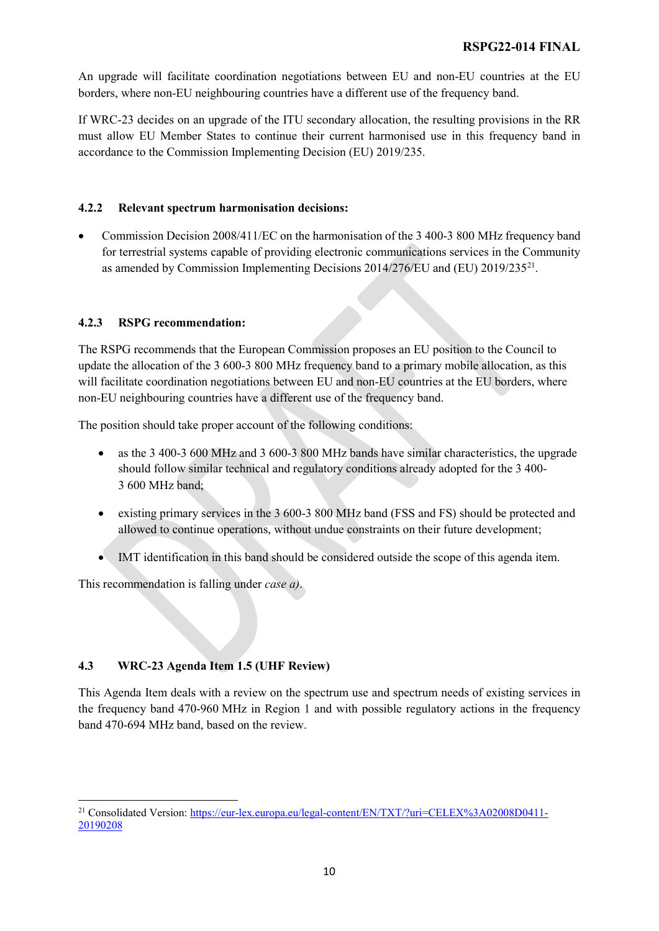An upgrade will facilitate coordination negotiations between EU and non-EU countries at the EU borders, where non-EU neighbouring countries have a different use of the frequency band.

If WRC-23 decides on an upgrade of the ITU secondary allocation, the resulting provisions in the RR must allow EU Member States to continue their current harmonised use in this frequency band in accordance to the Commission Implementing Decision (EU) 2019/235.

#### **4.2.2 Relevant spectrum harmonisation decisions:**

• Commission Decision 2008/411/EC on the harmonisation of the 3 400-3 800 MHz frequency band for terrestrial systems capable of providing electronic communications services in the Community as amended by Commission Implementing Decisions 2014/276/EU and (EU) 2019/235[21.](#page-9-0)

#### **4.2.3 RSPG recommendation:**

The RSPG recommends that the European Commission proposes an EU position to the Council to update the allocation of the 3 600-3 800 MHz frequency band to a primary mobile allocation, as this will facilitate coordination negotiations between EU and non-EU countries at the EU borders, where non-EU neighbouring countries have a different use of the frequency band.

The position should take proper account of the following conditions:

- as the 3 400-3 600 MHz and 3 600-3 800 MHz bands have similar characteristics, the upgrade should follow similar technical and regulatory conditions already adopted for the 3 400- 3 600 MHz band;
- existing primary services in the 3 600-3 800 MHz band (FSS and FS) should be protected and allowed to continue operations, without undue constraints on their future development;
- IMT identification in this band should be considered outside the scope of this agenda item.

This recommendation is falling under *case a)*.

#### **4.3 WRC-23 Agenda Item 1.5 (UHF Review)**

 $\overline{a}$ 

This Agenda Item deals with a review on the spectrum use and spectrum needs of existing services in the frequency band 470-960 MHz in Region 1 and with possible regulatory actions in the frequency band 470-694 MHz band, based on the review.

<span id="page-9-0"></span><sup>&</sup>lt;sup>21</sup> Consolidated Version: [https://eur-lex.europa.eu/legal-content/EN/TXT/?uri=CELEX%3A02008D0411-](https://eur-lex.europa.eu/legal-content/EN/TXT/?uri=CELEX%3A02008D0411-20190208) [20190208](https://eur-lex.europa.eu/legal-content/EN/TXT/?uri=CELEX%3A02008D0411-20190208)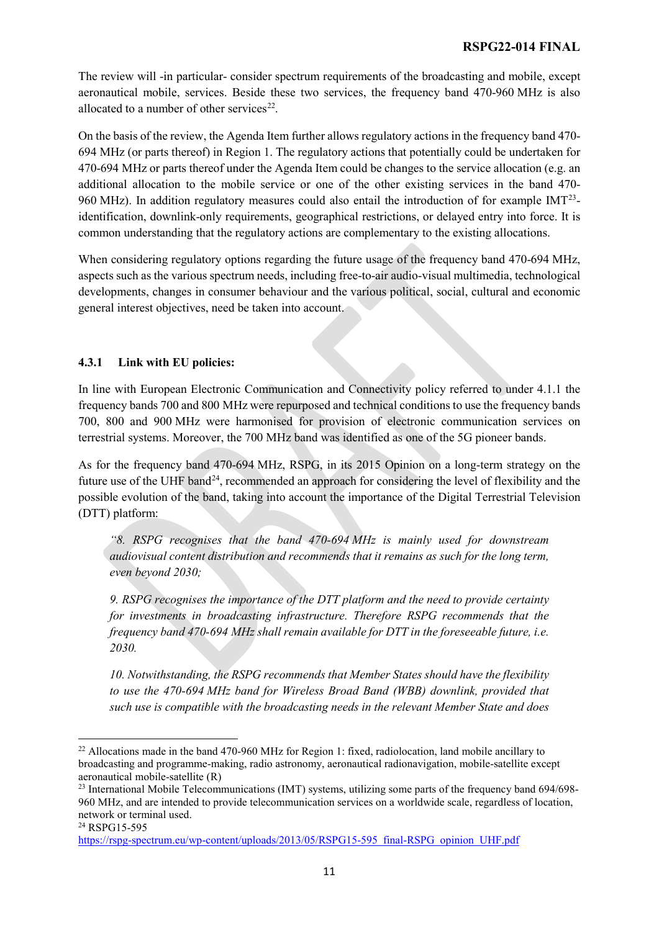The review will -in particular- consider spectrum requirements of the broadcasting and mobile, except aeronautical mobile, services. Beside these two services, the frequency band 470-960 MHz is also allocated to a number of other services<sup>22</sup>.

On the basis of the review, the Agenda Item further allows regulatory actions in the frequency band 470- 694 MHz (or parts thereof) in Region 1. The regulatory actions that potentially could be undertaken for 470-694 MHz or parts thereof under the Agenda Item could be changes to the service allocation (e.g. an additional allocation to the mobile service or one of the other existing services in the band 470- 960 MHz). In addition regulatory measures could also entail the introduction of for example  $IMT<sup>23</sup>$ identification, downlink-only requirements, geographical restrictions, or delayed entry into force. It is common understanding that the regulatory actions are complementary to the existing allocations.

When considering regulatory options regarding the future usage of the frequency band 470-694 MHz, aspects such as the various spectrum needs, including free-to-air audio-visual multimedia, technological developments, changes in consumer behaviour and the various political, social, cultural and economic general interest objectives, need be taken into account.

#### **4.3.1 Link with EU policies:**

In line with European Electronic Communication and Connectivity policy referred to under 4.1.1 the frequency bands 700 and 800 MHz were repurposed and technical conditions to use the frequency bands 700, 800 and 900 MHz were harmonised for provision of electronic communication services on terrestrial systems. Moreover, the 700 MHz band was identified as one of the 5G pioneer bands.

As for the frequency band 470-694 MHz, RSPG, in its 2015 Opinion on a long-term strategy on the future use of the UHF band<sup>[24](#page-10-2)</sup>, recommended an approach for considering the level of flexibility and the possible evolution of the band, taking into account the importance of the Digital Terrestrial Television (DTT) platform:

*"8. RSPG recognises that the band 470-694 MHz is mainly used for downstream audiovisual content distribution and recommends that it remains as such for the long term, even beyond 2030;*

*9. RSPG recognises the importance of the DTT platform and the need to provide certainty for investments in broadcasting infrastructure. Therefore RSPG recommends that the frequency band 470-694 MHz shall remain available for DTT in the foreseeable future, i.e. 2030.*

*10. Notwithstanding, the RSPG recommends that Member States should have the flexibility to use the 470-694 MHz band for Wireless Broad Band (WBB) downlink, provided that such use is compatible with the broadcasting needs in the relevant Member State and does* 

<span id="page-10-2"></span><sup>24</sup> RSPG15-595

<span id="page-10-0"></span><sup>&</sup>lt;sup>22</sup> Allocations made in the band 470-960 MHz for Region 1: fixed, radiolocation, land mobile ancillary to broadcasting and programme-making, radio astronomy, aeronautical radionavigation, mobile-satellite except aeronautical mobile-satellite (R)

<span id="page-10-1"></span><sup>&</sup>lt;sup>23</sup> International Mobile Telecommunications (IMT) systems, utilizing some parts of the frequency band 694/698-960 MHz, and are intended to provide telecommunication services on a worldwide scale, regardless of location, network or terminal used.

[https://rspg-spectrum.eu/wp-content/uploads/2013/05/RSPG15-595\\_final-RSPG\\_opinion\\_UHF.pdf](https://rspg-spectrum.eu/wp-content/uploads/2013/05/RSPG15-595_final-RSPG_opinion_UHF.pdf)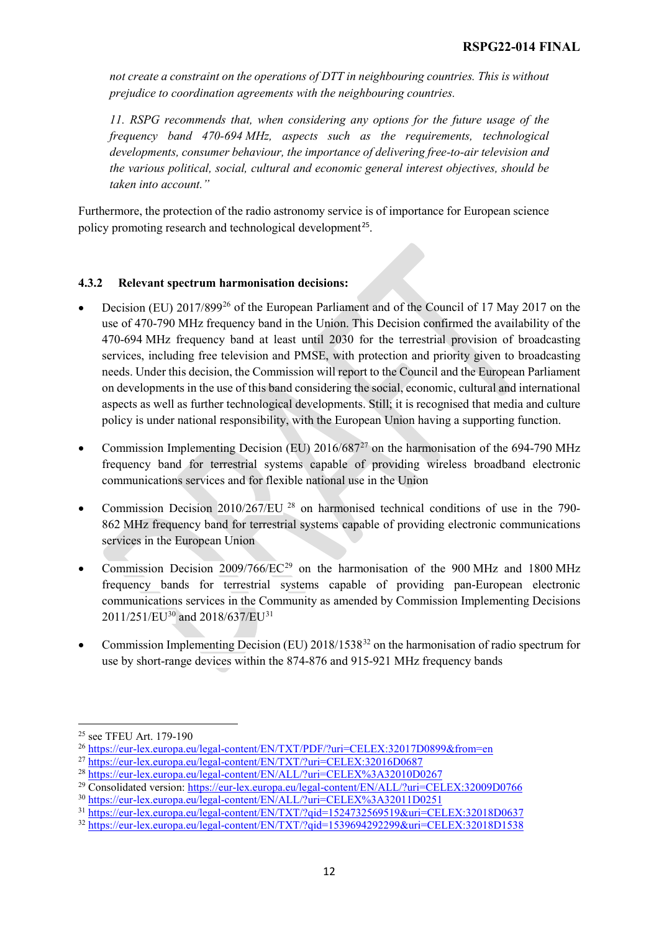*not create a constraint on the operations of DTT in neighbouring countries. This is without prejudice to coordination agreements with the neighbouring countries.*

*11. RSPG recommends that, when considering any options for the future usage of the frequency band 470-694 MHz, aspects such as the requirements, technological developments, consumer behaviour, the importance of delivering free-to-air television and the various political, social, cultural and economic general interest objectives, should be taken into account."*

Furthermore, the protection of the radio astronomy service is of importance for European science policy promoting research and technological development<sup>[25](#page-11-0)</sup>.

#### **4.3.2 Relevant spectrum harmonisation decisions:**

- Decision (EU) 2017/89[926](#page-11-1) of the European Parliament and of the Council of 17 May 2017 on the use of 470-790 MHz frequency band in the Union. This Decision confirmed the availability of the 470-694 MHz frequency band at least until 2030 for the terrestrial provision of broadcasting services, including free television and PMSE, with protection and priority given to broadcasting needs. Under this decision, the Commission will report to the Council and the European Parliament on developments in the use of this band considering the social, economic, cultural and international aspects as well as further technological developments. Still; it is recognised that media and culture policy is under national responsibility, with the European Union having a supporting function.
- Commission Implementing Decision (EU)  $2016/687^{27}$  $2016/687^{27}$  $2016/687^{27}$  on the harmonisation of the 694-790 MHz frequency band for terrestrial systems capable of providing wireless broadband electronic communications services and for flexible national use in the Union
- Commission Decision 2010/267/EU <sup>[28](#page-11-3)</sup> on harmonised technical conditions of use in the 790-862 MHz frequency band for terrestrial systems capable of providing electronic communications services in the European Union
- Commission Decision  $2009/766/EC^{29}$  $2009/766/EC^{29}$  $2009/766/EC^{29}$  on the harmonisation of the 900 MHz and 1800 MHz frequency bands for terrestrial systems capable of providing pan-European electronic communications services in the Community as amended by Commission Implementing Decisions 2011/251/EU<sup>[30](#page-11-5)</sup> and 2018/637/EU<sup>[31](#page-11-6)</sup>
- Commission Implementing Decision (EU) 2018/1538[32](#page-11-7) on the harmonisation of radio spectrum for use by short-range devices within the 874-876 and 915-921 MHz frequency bands

<span id="page-11-0"></span><sup>25</sup> see TFEU Art. 179-190

<span id="page-11-1"></span><sup>26</sup> <https://eur-lex.europa.eu/legal-content/EN/TXT/PDF/?uri=CELEX:32017D0899&from=en>

<span id="page-11-2"></span><sup>27</sup> <https://eur-lex.europa.eu/legal-content/EN/TXT/?uri=CELEX:32016D0687>

<span id="page-11-3"></span><sup>28</sup> <https://eur-lex.europa.eu/legal-content/EN/ALL/?uri=CELEX%3A32010D0267>

<span id="page-11-4"></span><sup>29</sup> Consolidated version:<https://eur-lex.europa.eu/legal-content/EN/ALL/?uri=CELEX:32009D0766>

<span id="page-11-5"></span><sup>30</sup> <https://eur-lex.europa.eu/legal-content/EN/ALL/?uri=CELEX%3A32011D0251>

<span id="page-11-6"></span><sup>31</sup> <https://eur-lex.europa.eu/legal-content/EN/TXT/?qid=1524732569519&uri=CELEX:32018D0637>

<span id="page-11-7"></span><sup>32</sup> <https://eur-lex.europa.eu/legal-content/EN/TXT/?qid=1539694292299&uri=CELEX:32018D1538>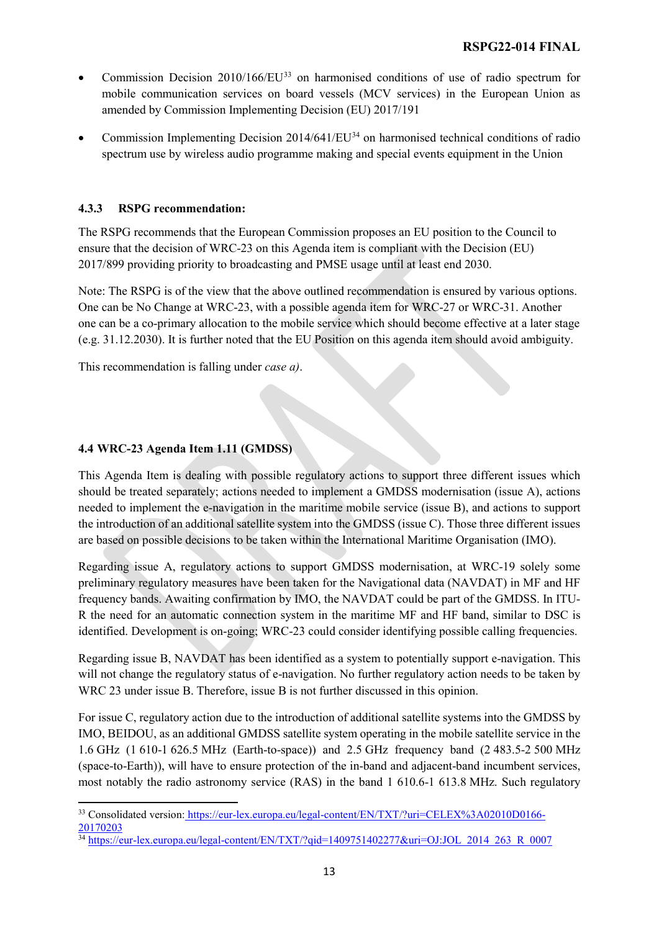- Commission Decision  $2010/166/EU^{33}$  $2010/166/EU^{33}$  $2010/166/EU^{33}$  on harmonised conditions of use of radio spectrum for mobile communication services on board vessels (MCV services) in the European Union as amended by Commission Implementing Decision (EU) 2017/191
- Commission Implementing Decision 2014/641/EU[34](#page-12-1) on harmonised technical conditions of radio spectrum use by wireless audio programme making and special events equipment in the Union

#### **4.3.3 RSPG recommendation:**

The RSPG recommends that the European Commission proposes an EU position to the Council to ensure that the decision of WRC-23 on this Agenda item is compliant with the Decision (EU) 2017/899 providing priority to broadcasting and PMSE usage until at least end 2030.

Note: The RSPG is of the view that the above outlined recommendation is ensured by various options. One can be No Change at WRC-23, with a possible agenda item for WRC-27 or WRC-31. Another one can be a co-primary allocation to the mobile service which should become effective at a later stage (e.g. 31.12.2030). It is further noted that the EU Position on this agenda item should avoid ambiguity.

This recommendation is falling under *case a)*.

#### **4.4 WRC-23 Agenda Item 1.11 (GMDSS)**

This Agenda Item is dealing with possible regulatory actions to support three different issues which should be treated separately; actions needed to implement a GMDSS modernisation (issue A), actions needed to implement the e-navigation in the maritime mobile service (issue B), and actions to support the introduction of an additional satellite system into the GMDSS (issue C). Those three different issues are based on possible decisions to be taken within the International Maritime Organisation (IMO).

Regarding issue A, regulatory actions to support GMDSS modernisation, at WRC-19 solely some preliminary regulatory measures have been taken for the Navigational data (NAVDAT) in MF and HF frequency bands. Awaiting confirmation by IMO, the NAVDAT could be part of the GMDSS. In ITU-R the need for an automatic connection system in the maritime MF and HF band, similar to DSC is identified. Development is on-going; WRC-23 could consider identifying possible calling frequencies.

Regarding issue B, NAVDAT has been identified as a system to potentially support e-navigation. This will not change the regulatory status of e-navigation. No further regulatory action needs to be taken by WRC 23 under issue B. Therefore, issue B is not further discussed in this opinion.

For issue C, regulatory action due to the introduction of additional satellite systems into the GMDSS by IMO, BEIDOU, as an additional GMDSS satellite system operating in the mobile satellite service in the 1.6 GHz (1 610-1 626.5 MHz (Earth-to-space)) and 2.5 GHz frequency band (2 483.5-2 500 MHz (space-to-Earth)), will have to ensure protection of the in-band and adjacent-band incumbent services, most notably the radio astronomy service (RAS) in the band 1 610.6-1 613.8 MHz. Such regulatory

<span id="page-12-0"></span> $\overline{a}$ <sup>33</sup> Consolidated version: [https://eur-lex.europa.eu/legal-content/EN/TXT/?uri=CELEX%3A02010D0166-](https://eur-lex.europa.eu/legal-content/EN/TXT/?uri=CELEX%3A02010D0166-20170203) [20170203](https://eur-lex.europa.eu/legal-content/EN/TXT/?uri=CELEX%3A02010D0166-20170203)

<span id="page-12-1"></span> $\frac{34 \text{ https://eur-lex.europa.eu/legal-content/EN/TXT/2qid=1409751402277&uri=OJ:JOL_2014_263_3R_0007}{\text{https://eur-lex.europa.eu/legal-content/EN/TXT/2qid=1409751402277&uri=OJ:JOL_2014_263_3R_0007}$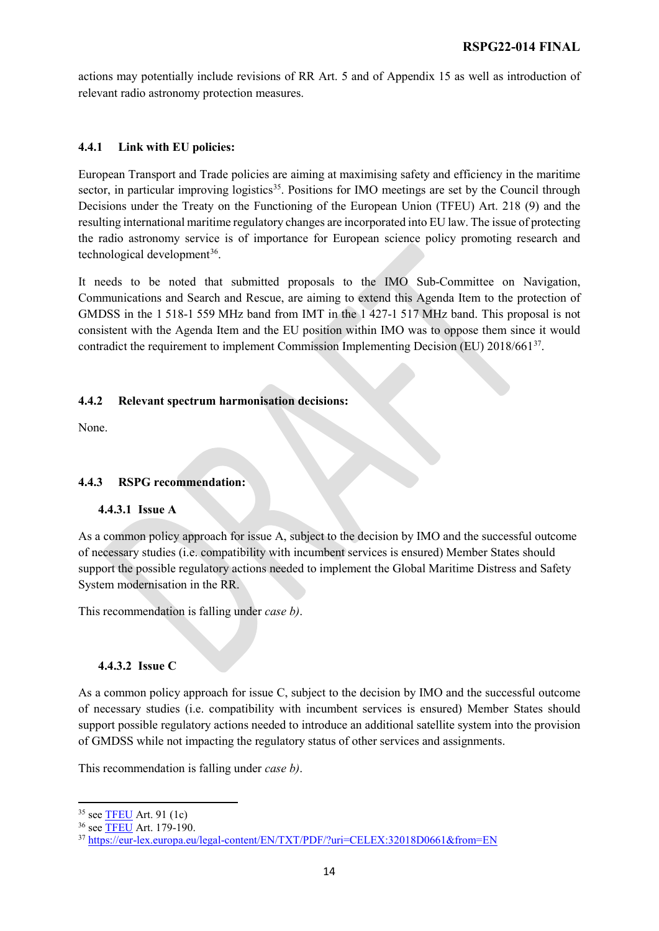actions may potentially include revisions of RR Art. 5 and of Appendix 15 as well as introduction of relevant radio astronomy protection measures.

#### **4.4.1 Link with EU policies:**

European Transport and Trade policies are aiming at maximising safety and efficiency in the maritime sector, in particular improving logistics<sup>[35](#page-13-0)</sup>. Positions for IMO meetings are set by the Council through Decisions under the Treaty on the Functioning of the European Union (TFEU) Art. 218 (9) and the resulting international maritime regulatory changes are incorporated into EU law. The issue of protecting the radio astronomy service is of importance for European science policy promoting research and technological development<sup>[36](#page-13-1)</sup>.

It needs to be noted that submitted proposals to the IMO Sub-Committee on Navigation, Communications and Search and Rescue, are aiming to extend this Agenda Item to the protection of GMDSS in the 1 518-1 559 MHz band from IMT in the 1 427-1 517 MHz band. This proposal is not consistent with the Agenda Item and the EU position within IMO was to oppose them since it would contradict the requirement to implement Commission Implementing Decision (EU)  $2018/661^{37}$  $2018/661^{37}$  $2018/661^{37}$ .

#### **4.4.2 Relevant spectrum harmonisation decisions:**

None.

#### **4.4.3 RSPG recommendation:**

#### **4.4.3.1 Issue A**

As a common policy approach for issue A, subject to the decision by IMO and the successful outcome of necessary studies (i.e. compatibility with incumbent services is ensured) Member States should support the possible regulatory actions needed to implement the Global Maritime Distress and Safety System modernisation in the RR.

This recommendation is falling under *case b)*.

#### **4.4.3.2 Issue C**

As a common policy approach for issue C, subject to the decision by IMO and the successful outcome of necessary studies (i.e. compatibility with incumbent services is ensured) Member States should support possible regulatory actions needed to introduce an additional satellite system into the provision of GMDSS while not impacting the regulatory status of other services and assignments.

This recommendation is falling under *case b)*.

<span id="page-13-0"></span><sup>&</sup>lt;sup>35</sup> see **TFEU** Art. 91 (1c)

<span id="page-13-1"></span><sup>36</sup> see [TFEU](https://eur-lex.europa.eu/legal-content/EN/TXT/?uri=OJ:C:2016:202:TOC) Art. 179-190.

<span id="page-13-2"></span><sup>37</sup> <https://eur-lex.europa.eu/legal-content/EN/TXT/PDF/?uri=CELEX:32018D0661&from=EN>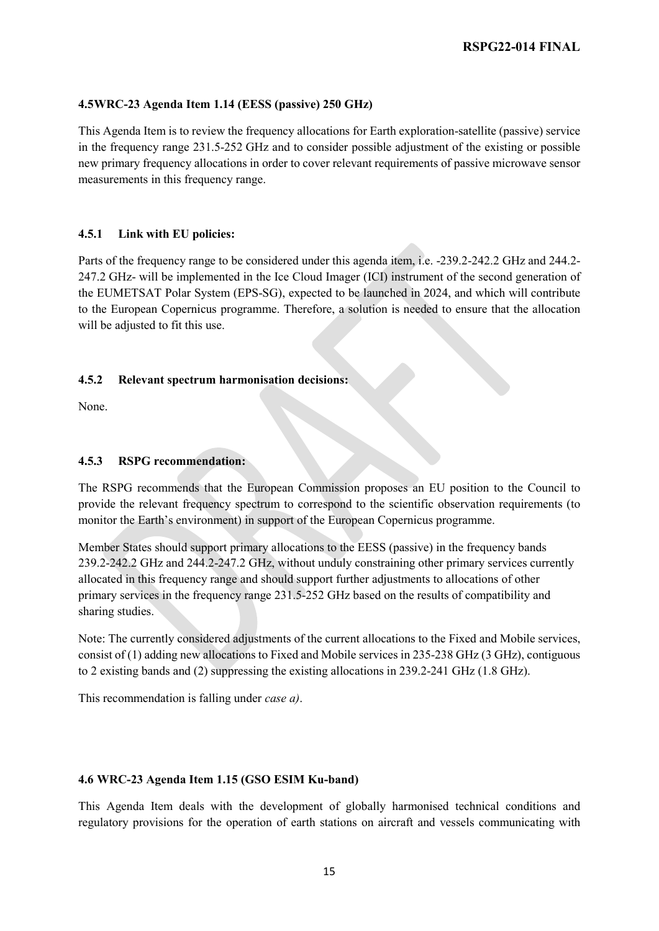#### **4.5WRC-23 Agenda Item 1.14 (EESS (passive) 250 GHz)**

This Agenda Item is to review the frequency allocations for Earth exploration-satellite (passive) service in the frequency range 231.5-252 GHz and to consider possible adjustment of the existing or possible new primary frequency allocations in order to cover relevant requirements of passive microwave sensor measurements in this frequency range.

#### **4.5.1 Link with EU policies:**

Parts of the frequency range to be considered under this agenda item, i.e. -239.2-242.2 GHz and 244.2- 247.2 GHz- will be implemented in the Ice Cloud Imager (ICI) instrument of the second generation of the EUMETSAT Polar System (EPS-SG), expected to be launched in 2024, and which will contribute to the European Copernicus programme. Therefore, a solution is needed to ensure that the allocation will be adjusted to fit this use.

#### **4.5.2 Relevant spectrum harmonisation decisions:**

None.

#### **4.5.3 RSPG recommendation:**

The RSPG recommends that the European Commission proposes an EU position to the Council to provide the relevant frequency spectrum to correspond to the scientific observation requirements (to monitor the Earth's environment) in support of the European Copernicus programme.

Member States should support primary allocations to the EESS (passive) in the frequency bands 239.2-242.2 GHz and 244.2-247.2 GHz, without unduly constraining other primary services currently allocated in this frequency range and should support further adjustments to allocations of other primary services in the frequency range 231.5-252 GHz based on the results of compatibility and sharing studies.

Note: The currently considered adjustments of the current allocations to the Fixed and Mobile services, consist of (1) adding new allocations to Fixed and Mobile services in 235-238 GHz (3 GHz), contiguous to 2 existing bands and (2) suppressing the existing allocations in 239.2-241 GHz (1.8 GHz).

This recommendation is falling under *case a)*.

#### **4.6 WRC-23 Agenda Item 1.15 (GSO ESIM Ku-band)**

This Agenda Item deals with the development of globally harmonised technical conditions and regulatory provisions for the operation of earth stations on aircraft and vessels communicating with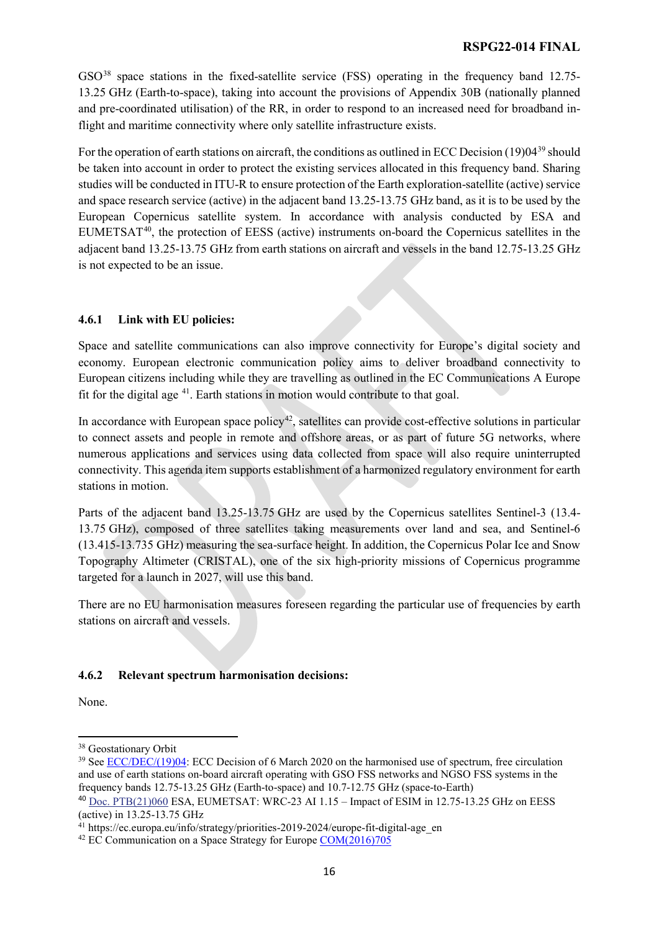$GSO<sup>38</sup>$  $GSO<sup>38</sup>$  $GSO<sup>38</sup>$  space stations in the fixed-satellite service (FSS) operating in the frequency band 12.75-13.25 GHz (Earth-to-space), taking into account the provisions of Appendix 30B (nationally planned and pre-coordinated utilisation) of the RR, in order to respond to an increased need for broadband inflight and maritime connectivity where only satellite infrastructure exists.

For the operation of earth stations on aircraft, the conditions as outlined in ECC Decision (19)04<sup>[39](#page-15-1)</sup> should be taken into account in order to protect the existing services allocated in this frequency band. Sharing studies will be conducted in ITU-R to ensure protection of the Earth exploration-satellite (active) service and space research service (active) in the adjacent band 13.25-13.75 GHz band, as it is to be used by the European Copernicus satellite system. In accordance with analysis conducted by ESA and EUMETSAT<sup>40</sup>, the protection of EESS (active) instruments on-board the Copernicus satellites in the adjacent band 13.25-13.75 GHz from earth stations on aircraft and vessels in the band 12.75-13.25 GHz is not expected to be an issue.

#### **4.6.1 Link with EU policies:**

Space and satellite communications can also improve connectivity for Europe's digital society and economy. European electronic communication policy aims to deliver broadband connectivity to European citizens including while they are travelling as outlined in the EC Communications A Europe fit for the digital age [41](#page-15-3). Earth stations in motion would contribute to that goal.

In accordance with European space policy<sup>[42](#page-15-4)</sup>, satellites can provide cost-effective solutions in particular to connect assets and people in remote and offshore areas, or as part of future 5G networks, where numerous applications and services using data collected from space will also require uninterrupted connectivity. This agenda item supports establishment of a harmonized regulatory environment for earth stations in motion.

Parts of the adjacent band 13.25-13.75 GHz are used by the Copernicus satellites Sentinel-3 (13.4- 13.75 GHz), composed of three satellites taking measurements over land and sea, and Sentinel-6 (13.415-13.735 GHz) measuring the sea-surface height. In addition, the Copernicus Polar Ice and Snow Topography Altimeter (CRISTAL), one of the six high-priority missions of Copernicus programme targeted for a launch in 2027, will use this band.

There are no EU harmonisation measures foreseen regarding the particular use of frequencies by earth stations on aircraft and vessels.

#### **4.6.2 Relevant spectrum harmonisation decisions:**

None.

<span id="page-15-0"></span><sup>38</sup> Geostationary Orbit

<span id="page-15-1"></span><sup>&</sup>lt;sup>39</sup> See [ECC/DEC/\(19\)04:](https://docdb.cept.org/document/13856) ECC Decision of 6 March 2020 on the harmonised use of spectrum, free circulation and use of earth stations on-board aircraft operating with GSO FSS networks and NGSO FSS systems in the frequency bands 12.75-13.25 GHz (Earth-to-space) and 10.7-12.75 GHz (space-to-Earth)

<span id="page-15-2"></span><sup>40</sup> [Doc. PTB\(21\)060](https://cept.org/Documents/cpg-ptb/66142/doc-ptb-21-060_wrc-23-ai-115-impact-of-esim-in-1275-1325-ghz-on-eess-active-in-1325-1375-ghz) ESA, EUMETSAT: WRC-23 AI 1.15 – Impact of ESIM in 12.75-13.25 GHz on EESS (active) in  $13.25 - 13.75$  GHz

<span id="page-15-3"></span><sup>&</sup>lt;sup>41</sup> https://ec.europa.eu/info/strategy/priorities-2019-2024/europe-fit-digital-age\_en

<span id="page-15-4"></span><sup>&</sup>lt;sup>42</sup> EC Communication on a Space Strategy for Europe [COM\(2016\)705](https://eur-lex.europa.eu/legal-content/EN/TXT/?uri=COM%3A2016%3A705%3AFIN)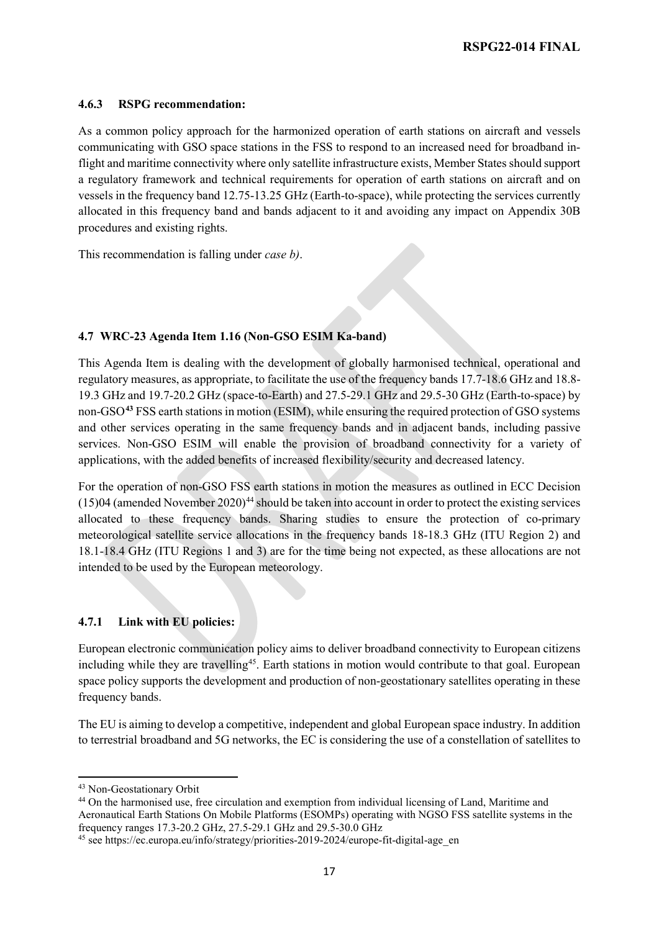#### **4.6.3 RSPG recommendation:**

As a common policy approach for the harmonized operation of earth stations on aircraft and vessels communicating with GSO space stations in the FSS to respond to an increased need for broadband inflight and maritime connectivity where only satellite infrastructure exists, Member States should support a regulatory framework and technical requirements for operation of earth stations on aircraft and on vessels in the frequency band 12.75-13.25 GHz (Earth-to-space), while protecting the services currently allocated in this frequency band and bands adjacent to it and avoiding any impact on Appendix 30B procedures and existing rights.

This recommendation is falling under *case b)*.

#### **4.7 WRC-23 Agenda Item 1.16 (Non-GSO ESIM Ka-band)**

This Agenda Item is dealing with the development of globally harmonised technical, operational and regulatory measures, as appropriate, to facilitate the use of the frequency bands 17.7-18.6 GHz and 18.8- 19.3 GHz and 19.7-20.2 GHz (space-to-Earth) and 27.5-29.1 GHz and 29.5-30 GHz (Earth-to-space) by non-GSO**[43](#page-16-0)** FSS earth stations in motion (ESIM), while ensuring the required protection of GSO systems and other services operating in the same frequency bands and in adjacent bands, including passive services. Non-GSO ESIM will enable the provision of broadband connectivity for a variety of applications, with the added benefits of increased flexibility/security and decreased latency.

For the operation of non-GSO FSS earth stations in motion the measures as outlined in ECC Decision  $(15)04$  (amended November 2020)<sup>44</sup> should be taken into account in order to protect the existing services allocated to these frequency bands. Sharing studies to ensure the protection of co-primary meteorological satellite service allocations in the frequency bands 18-18.3 GHz (ITU Region 2) and 18.1-18.4 GHz (ITU Regions 1 and 3) are for the time being not expected, as these allocations are not intended to be used by the European meteorology.

#### **4.7.1 Link with EU policies:**

European electronic communication policy aims to deliver broadband connectivity to European citizens including while they are travelling<sup>45</sup>. Earth stations in motion would contribute to that goal. European space policy supports the development and production of non-geostationary satellites operating in these frequency bands.

The EU is aiming to develop a competitive, independent and global European space industry. In addition to terrestrial broadband and 5G networks, the EC is considering the use of a constellation of satellites to

l

<span id="page-16-0"></span><sup>43</sup> Non-Geostationary Orbit

<span id="page-16-1"></span><sup>44</sup> On the harmonised use, free circulation and exemption from individual licensing of Land, Maritime and Aeronautical Earth Stations On Mobile Platforms (ESOMPs) operating with NGSO FSS satellite systems in the frequency ranges 17.3-20.2 GHz, 27.5-29.1 GHz and 29.5-30.0 GHz

<span id="page-16-2"></span><sup>&</sup>lt;sup>45</sup> see https://ec.europa.eu/info/strategy/priorities-2019-2024/europe-fit-digital-age en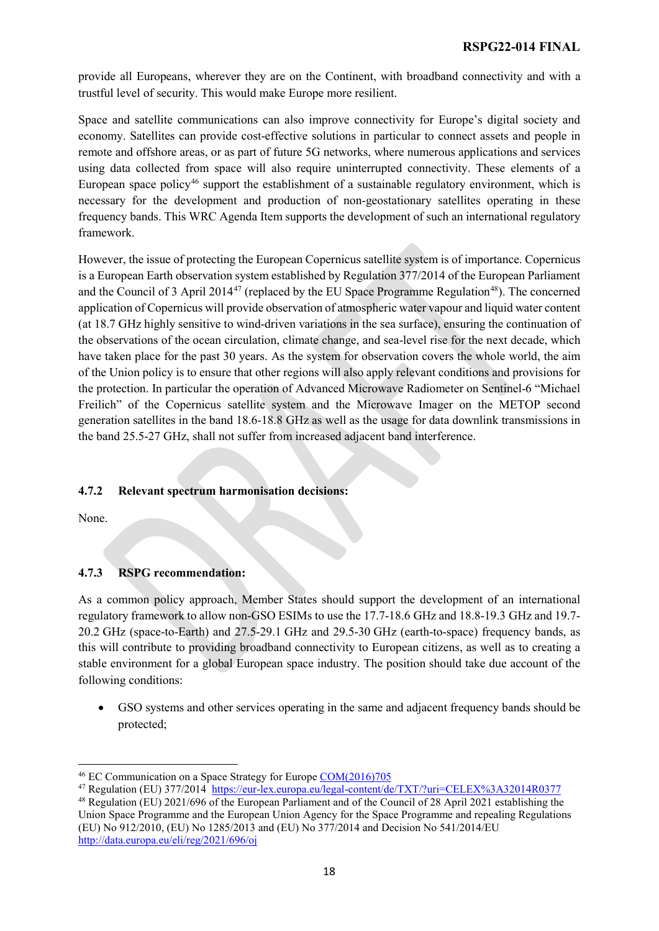provide all Europeans, wherever they are on the Continent, with broadband connectivity and with a trustful level of security. This would make Europe more resilient.

Space and satellite communications can also improve connectivity for Europe's digital society and economy. Satellites can provide cost-effective solutions in particular to connect assets and people in remote and offshore areas, or as part of future 5G networks, where numerous applications and services using data collected from space will also require uninterrupted connectivity. These elements of a European space policy<sup>[46](#page-17-0)</sup> support the establishment of a sustainable regulatory environment, which is necessary for the development and production of non-geostationary satellites operating in these frequency bands. This WRC Agenda Item supports the development of such an international regulatory framework.

However, the issue of protecting the European Copernicus satellite system is of importance. Copernicus is a European Earth observation system established by Regulation 377/2014 of the European Parliament and the Council of 3 April 2014<sup>[47](#page-17-1)</sup> (replaced by the EU Space Programme Regulation<sup>[48](#page-17-2)</sup>). The concerned application of Copernicus will provide observation of atmospheric water vapour and liquid water content (at 18.7 GHz highly sensitive to wind-driven variations in the sea surface), ensuring the continuation of the observations of the ocean circulation, climate change, and sea-level rise for the next decade, which have taken place for the past 30 years. As the system for observation covers the whole world, the aim of the Union policy is to ensure that other regions will also apply relevant conditions and provisions for the protection. In particular the operation of Advanced Microwave Radiometer on Sentinel-6 "Michael Freilich" of the Copernicus satellite system and the Microwave Imager on the METOP second generation satellites in the band 18.6-18.8 GHz as well as the usage for data downlink transmissions in the band 25.5-27 GHz, shall not suffer from increased adjacent band interference.

#### **4.7.2 Relevant spectrum harmonisation decisions:**

None.

#### **4.7.3 RSPG recommendation:**

As a common policy approach, Member States should support the development of an international regulatory framework to allow non-GSO ESIMs to use the 17.7-18.6 GHz and 18.8-19.3 GHz and 19.7- 20.2 GHz (space-to-Earth) and 27.5-29.1 GHz and 29.5-30 GHz (earth-to-space) frequency bands, as this will contribute to providing broadband connectivity to European citizens, as well as to creating a stable environment for a global European space industry. The position should take due account of the following conditions:

• GSO systems and other services operating in the same and adjacent frequency bands should be protected;

 $\overline{a}$ <sup>46</sup> EC Communication on a Space Strategy for Europe [COM\(2016\)705](https://eur-lex.europa.eu/legal-content/EN/TXT/?uri=COM%3A2016%3A705%3AFIN)

<span id="page-17-1"></span><span id="page-17-0"></span><sup>&</sup>lt;sup>47</sup> Regulation (EU) 377/2014 <https://eur-lex.europa.eu/legal-content/de/TXT/?uri=CELEX%3A32014R0377>

<span id="page-17-2"></span><sup>48</sup> Regulation (EU) 2021/696 of the European Parliament and of the Council of 28 April 2021 establishing the Union Space Programme and the European Union Agency for the Space Programme and repealing Regulations (EU) No 912/2010, (EU) No 1285/2013 and (EU) No 377/2014 and Decision No 541/2014/EU <http://data.europa.eu/eli/reg/2021/696/oj>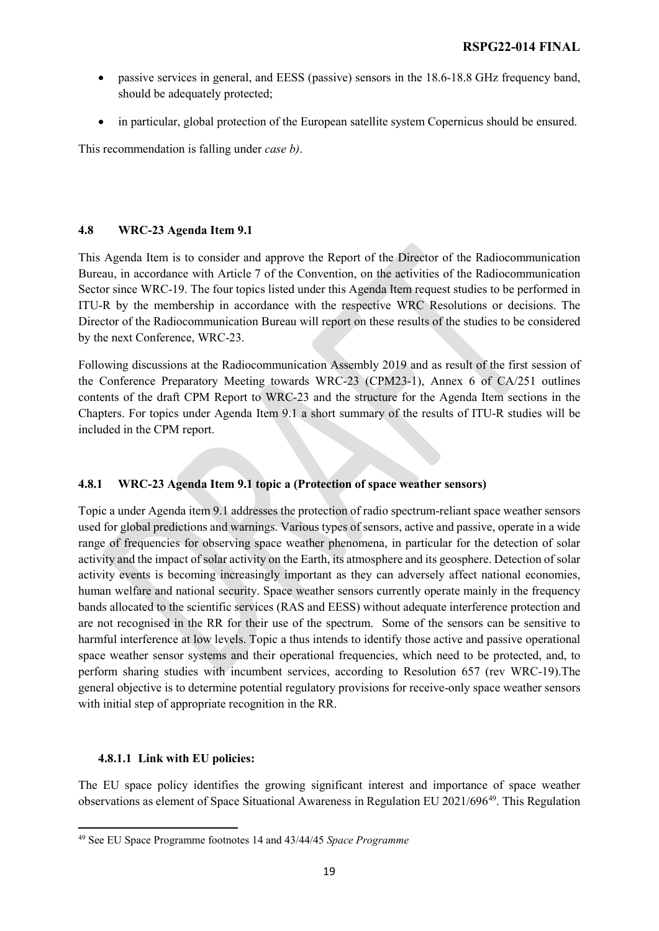- passive services in general, and EESS (passive) sensors in the 18.6-18.8 GHz frequency band, should be adequately protected;
- in particular, global protection of the European satellite system Copernicus should be ensured.

This recommendation is falling under *case b)*.

#### **4.8 WRC-23 Agenda Item 9.1**

This Agenda Item is to consider and approve the Report of the Director of the Radiocommunication Bureau, in accordance with Article 7 of the Convention, on the activities of the Radiocommunication Sector since WRC-19. The four topics listed under this Agenda Item request studies to be performed in ITU-R by the membership in accordance with the respective WRC Resolutions or decisions. The Director of the Radiocommunication Bureau will report on these results of the studies to be considered by the next Conference, WRC-23.

Following discussions at the Radiocommunication Assembly 2019 and as result of the first session of the Conference Preparatory Meeting towards WRC-23 (CPM23-1), Annex 6 of CA/251 outlines contents of the draft CPM Report to WRC-23 and the structure for the Agenda Item sections in the Chapters. For topics under Agenda Item 9.1 a short summary of the results of ITU-R studies will be included in the CPM report.

#### **4.8.1 WRC-23 Agenda Item 9.1 topic a (Protection of space weather sensors)**

Topic a under Agenda item 9.1 addresses the protection of radio spectrum-reliant space weather sensors used for global predictions and warnings. Various types of sensors, active and passive, operate in a wide range of frequencies for observing space weather phenomena, in particular for the detection of solar activity and the impact of solar activity on the Earth, its atmosphere and its geosphere. Detection of solar activity events is becoming increasingly important as they can adversely affect national economies, human welfare and national security. Space weather sensors currently operate mainly in the frequency bands allocated to the scientific services (RAS and EESS) without adequate interference protection and are not recognised in the RR for their use of the spectrum. Some of the sensors can be sensitive to harmful interference at low levels. Topic a thus intends to identify those active and passive operational space weather sensor systems and their operational frequencies, which need to be protected, and, to perform sharing studies with incumbent services, according to Resolution 657 (rev WRC-19).The general objective is to determine potential regulatory provisions for receive-only space weather sensors with initial step of appropriate recognition in the RR.

#### **4.8.1.1 Link with EU policies:**

 $\overline{a}$ 

The EU space policy identifies the growing significant interest and importance of space weather observations as element of Space Situational Awareness in Regulation EU 2021/696[49.](#page-18-0) This Regulation

<span id="page-18-0"></span><sup>49</sup> See EU Space Programme footnotes 14 and 43/44/45 *Space Programme*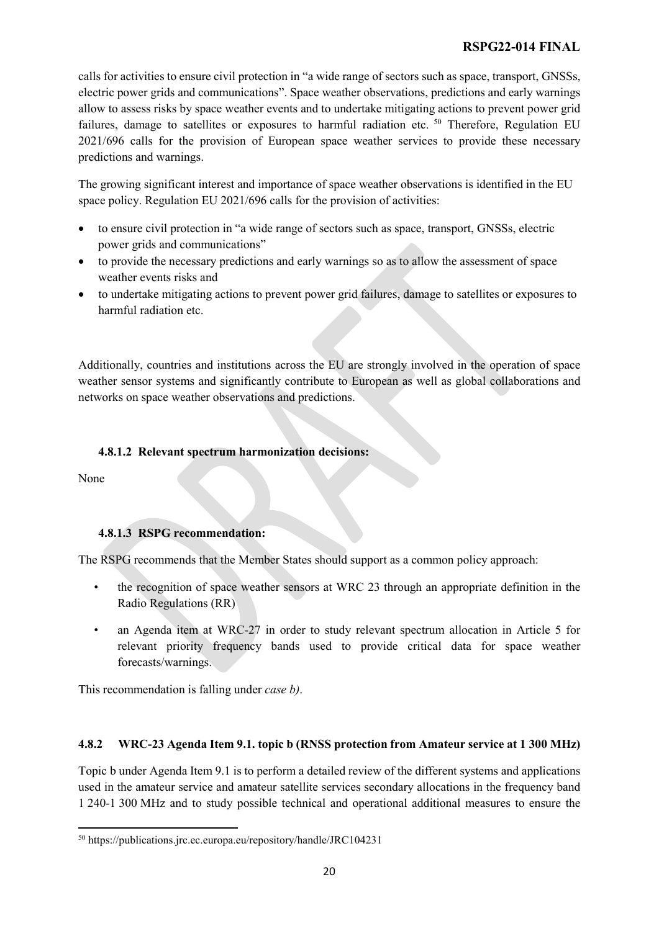calls for activities to ensure civil protection in "a wide range of sectors such as space, transport, GNSSs, electric power grids and communications". Space weather observations, predictions and early warnings allow to assess risks by space weather events and to undertake mitigating actions to prevent power grid failures, damage to satellites or exposures to harmful radiation etc. <sup>[50](#page-19-0)</sup> Therefore, Regulation EU 2021/696 calls for the provision of European space weather services to provide these necessary predictions and warnings.

The growing significant interest and importance of space weather observations is identified in the EU space policy. Regulation EU 2021/696 calls for the provision of activities:

- to ensure civil protection in "a wide range of sectors such as space, transport, GNSSs, electric power grids and communications"
- to provide the necessary predictions and early warnings so as to allow the assessment of space weather events risks and
- to undertake mitigating actions to prevent power grid failures, damage to satellites or exposures to harmful radiation etc.

Additionally, countries and institutions across the EU are strongly involved in the operation of space weather sensor systems and significantly contribute to European as well as global collaborations and networks on space weather observations and predictions.

#### **4.8.1.2 Relevant spectrum harmonization decisions:**

None

 $\overline{a}$ 

#### **4.8.1.3 RSPG recommendation:**

The RSPG recommends that the Member States should support as a common policy approach:

- the recognition of space weather sensors at WRC 23 through an appropriate definition in the Radio Regulations (RR)
- an Agenda item at WRC-27 in order to study relevant spectrum allocation in Article 5 for relevant priority frequency bands used to provide critical data for space weather forecasts/warnings.

This recommendation is falling under *case b)*.

#### **4.8.2 WRC-23 Agenda Item 9.1. topic b (RNSS protection from Amateur service at 1 300 MHz)**

Topic b under Agenda Item 9.1 is to perform a detailed review of the different systems and applications used in the amateur service and amateur satellite services secondary allocations in the frequency band 1 240-1 300 MHz and to study possible technical and operational additional measures to ensure the

<span id="page-19-0"></span><sup>50</sup> https://publications.jrc.ec.europa.eu/repository/handle/JRC104231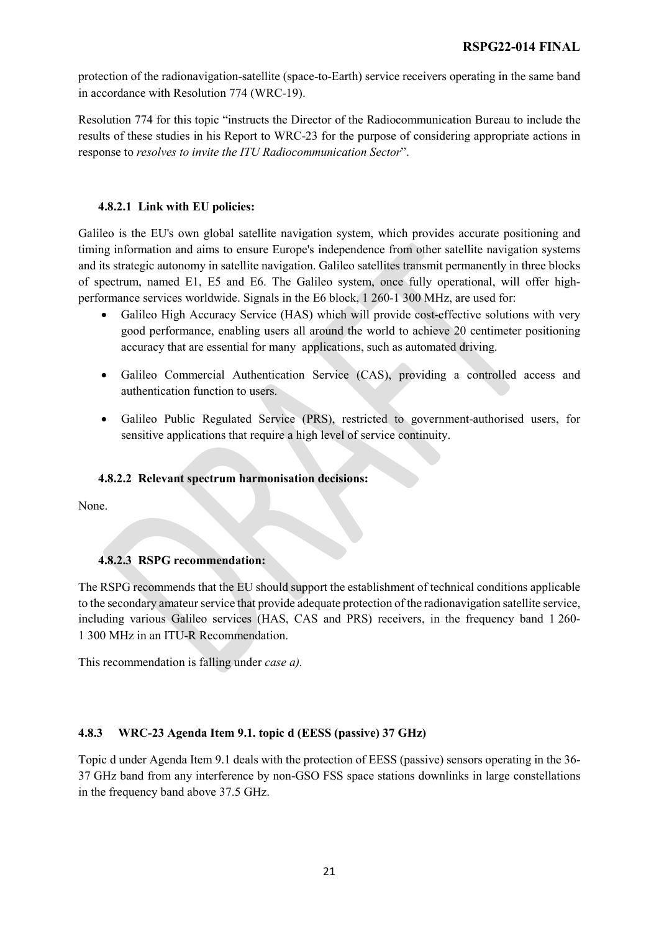protection of the radionavigation-satellite (space-to-Earth) service receivers operating in the same band in accordance with Resolution 774 (WRC-19).

Resolution 774 for this topic "instructs the Director of the Radiocommunication Bureau to include the results of these studies in his Report to WRC-23 for the purpose of considering appropriate actions in response to *resolves to invite the ITU Radiocommunication Sector*".

#### **4.8.2.1 Link with EU policies:**

Galileo is the EU's own global satellite navigation system, which provides accurate positioning and timing information and aims to ensure Europe's independence from other satellite navigation systems and its strategic autonomy in satellite navigation. Galileo satellites transmit permanently in three blocks of spectrum, named E1, E5 and E6. The Galileo system, once fully operational, will offer highperformance services worldwide. Signals in the E6 block, 1 260-1 300 MHz, are used for:

- Galileo High Accuracy Service (HAS) which will provide cost-effective solutions with very good performance, enabling users all around the world to achieve 20 centimeter positioning accuracy that are essential for many applications, such as automated driving.
- Galileo Commercial Authentication Service (CAS), providing a controlled access and authentication function to users.
- Galileo Public Regulated Service (PRS), restricted to government-authorised users, for sensitive applications that require a high level of service continuity.

#### **4.8.2.2 Relevant spectrum harmonisation decisions:**

None.

#### **4.8.2.3 RSPG recommendation:**

The RSPG recommends that the EU should support the establishment of technical conditions applicable to the secondary amateur service that provide adequate protection of the radionavigation satellite service, including various Galileo services (HAS, CAS and PRS) receivers, in the frequency band 1 260- 1 300 MHz in an ITU-R Recommendation.

This recommendation is falling under *case a).*

#### **4.8.3 WRC-23 Agenda Item 9.1. topic d (EESS (passive) 37 GHz)**

Topic d under Agenda Item 9.1 deals with the protection of EESS (passive) sensors operating in the 36- 37 GHz band from any interference by non-GSO FSS space stations downlinks in large constellations in the frequency band above 37.5 GHz.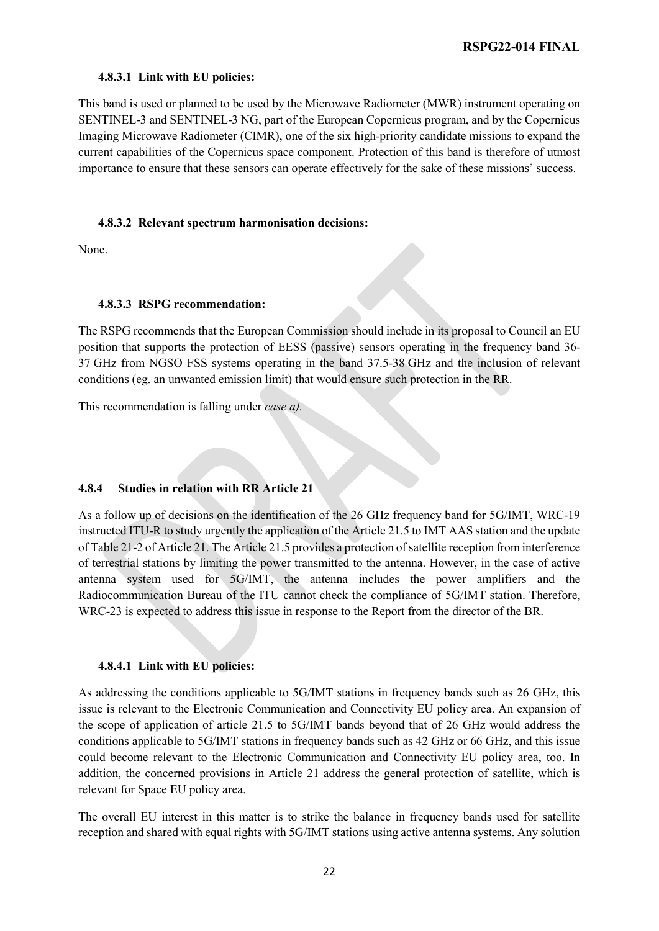#### **4.8.3.1 Link with EU policies:**

This band is used or planned to be used by the Microwave Radiometer (MWR) instrument operating on SENTINEL-3 and SENTINEL-3 NG, part of the European Copernicus program, and by the Copernicus Imaging Microwave Radiometer (CIMR), one of the six high-priority candidate missions to expand the current capabilities of the Copernicus space component. Protection of this band is therefore of utmost importance to ensure that these sensors can operate effectively for the sake of these missions' success.

#### **4.8.3.2 Relevant spectrum harmonisation decisions:**

None.

#### **4.8.3.3 RSPG recommendation:**

The RSPG recommends that the European Commission should include in its proposal to Council an EU position that supports the protection of EESS (passive) sensors operating in the frequency band 36- 37 GHz from NGSO FSS systems operating in the band 37.5-38 GHz and the inclusion of relevant conditions (eg. an unwanted emission limit) that would ensure such protection in the RR.

This recommendation is falling under *case a).*

#### **4.8.4 Studies in relation with RR Article 21**

As a follow up of decisions on the identification of the 26 GHz frequency band for 5G/IMT, WRC-19 instructed ITU-R to study urgently the application of the Article 21.5 to IMT AAS station and the update of Table 21-2 of Article 21. The Article 21.5 provides a protection of satellite reception from interference of terrestrial stations by limiting the power transmitted to the antenna. However, in the case of active antenna system used for 5G/IMT, the antenna includes the power amplifiers and the Radiocommunication Bureau of the ITU cannot check the compliance of 5G/IMT station. Therefore, WRC-23 is expected to address this issue in response to the Report from the director of the BR.

#### **4.8.4.1 Link with EU policies:**

As addressing the conditions applicable to 5G/IMT stations in frequency bands such as 26 GHz, this issue is relevant to the Electronic Communication and Connectivity EU policy area. An expansion of the scope of application of article 21.5 to 5G/IMT bands beyond that of 26 GHz would address the conditions applicable to 5G/IMT stations in frequency bands such as 42 GHz or 66 GHz, and this issue could become relevant to the Electronic Communication and Connectivity EU policy area, too. In addition, the concerned provisions in Article 21 address the general protection of satellite, which is relevant for Space EU policy area.

The overall EU interest in this matter is to strike the balance in frequency bands used for satellite reception and shared with equal rights with 5G/IMT stations using active antenna systems. Any solution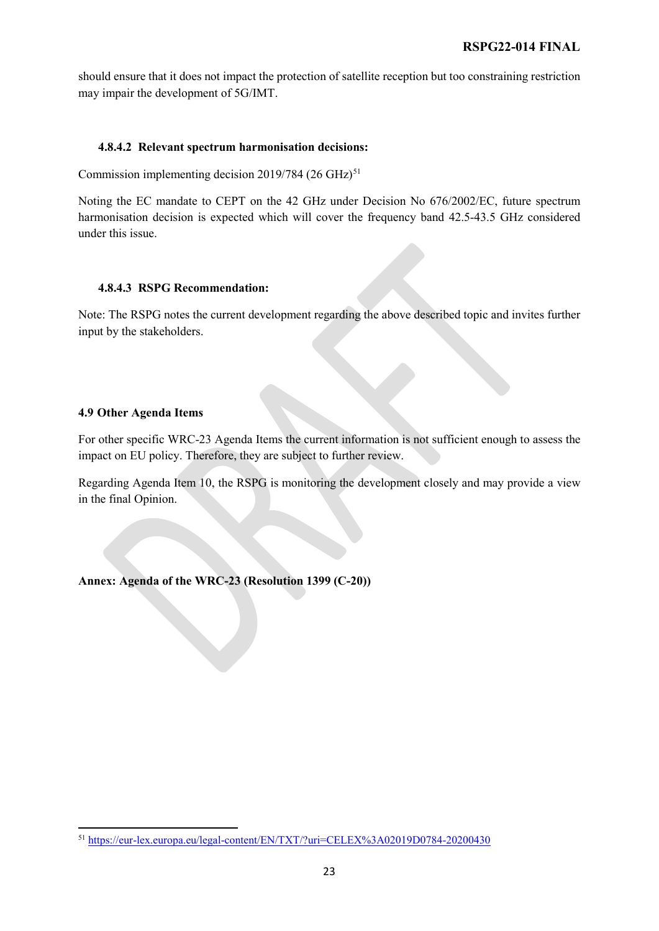should ensure that it does not impact the protection of satellite reception but too constraining restriction may impair the development of 5G/IMT.

#### **4.8.4.2 Relevant spectrum harmonisation decisions:**

Commission implementing decision  $2019/784$  (26 GHz)<sup>[51](#page-22-0)</sup>

Noting the EC mandate to CEPT on the 42 GHz under Decision No 676/2002/EC, future spectrum harmonisation decision is expected which will cover the frequency band 42.5-43.5 GHz considered under this issue.

#### **4.8.4.3 RSPG Recommendation:**

Note: The RSPG notes the current development regarding the above described topic and invites further input by the stakeholders.

#### **4.9 Other Agenda Items**

For other specific WRC-23 Agenda Items the current information is not sufficient enough to assess the impact on EU policy. Therefore, they are subject to further review.

Regarding Agenda Item 10, the RSPG is monitoring the development closely and may provide a view in the final Opinion.

**Annex: Agenda of the WRC-23 (Resolution 1399 (C-20))**

<span id="page-22-0"></span> $\overline{a}$ <sup>51</sup> <https://eur-lex.europa.eu/legal-content/EN/TXT/?uri=CELEX%3A02019D0784-20200430>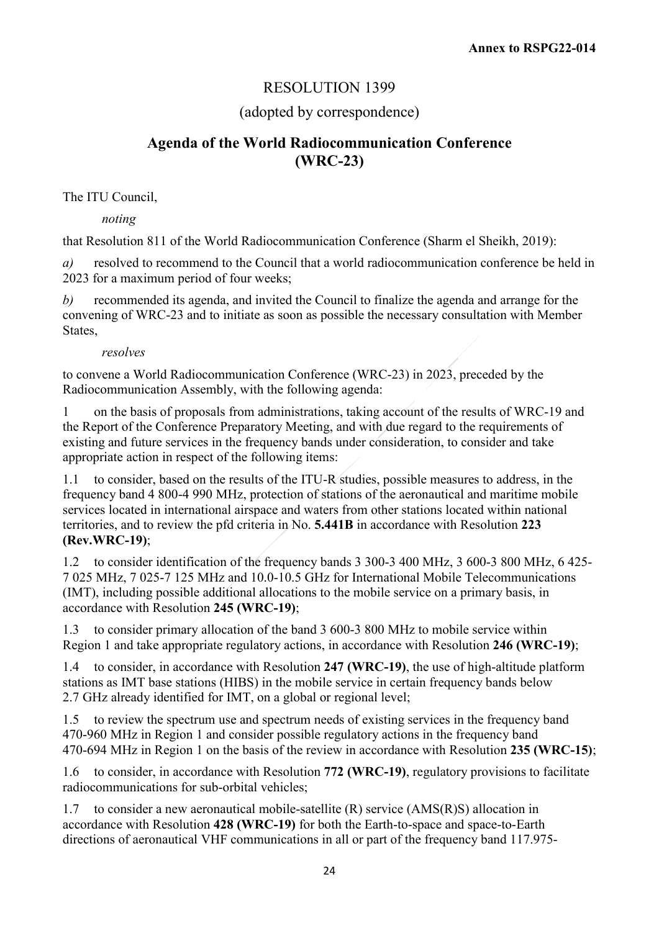## RESOLUTION 1399

### (adopted by correspondence)

## **Agenda of the World Radiocommunication Conference (WRC-23)**

The ITU Council,

*noting*

that Resolution 811 of the World Radiocommunication Conference (Sharm el Sheikh, 2019):

*a)* resolved to recommend to the Council that a world radiocommunication conference be held in 2023 for a maximum period of four weeks;

*b)* recommended its agenda, and invited the Council to finalize the agenda and arrange for the convening of WRC-23 and to initiate as soon as possible the necessary consultation with Member States,

*resolves*

to convene a World Radiocommunication Conference (WRC-23) in 2023, preceded by the Radiocommunication Assembly, with the following agenda:

1 on the basis of proposals from administrations, taking account of the results of WRC-19 and the Report of the Conference Preparatory Meeting, and with due regard to the requirements of existing and future services in the frequency bands under consideration, to consider and take appropriate action in respect of the following items:

1.1 to consider, based on the results of the ITU-R studies, possible measures to address, in the frequency band 4 800-4 990 MHz, protection of stations of the aeronautical and maritime mobile services located in international airspace and waters from other stations located within national territories, and to review the pfd criteria in No. **5.441B** in accordance with Resolution **223 (Rev.WRC-19)**;

1.2 to consider identification of the frequency bands 3 300-3 400 MHz, 3 600-3 800 MHz, 6 425- 7 025 MHz, 7 025-7 125 MHz and 10.0-10.5 GHz for International Mobile Telecommunications (IMT), including possible additional allocations to the mobile service on a primary basis, in accordance with Resolution **245 (WRC-19)**;

1.3 to consider primary allocation of the band 3 600-3 800 MHz to mobile service within Region 1 and take appropriate regulatory actions, in accordance with Resolution **246 (WRC-19)**;

1.4 to consider, in accordance with Resolution **247 (WRC-19)**, the use of high-altitude platform stations as IMT base stations (HIBS) in the mobile service in certain frequency bands below 2.7 GHz already identified for IMT, on a global or regional level;

1.5 to review the spectrum use and spectrum needs of existing services in the frequency band 470-960 MHz in Region 1 and consider possible regulatory actions in the frequency band 470-694 MHz in Region 1 on the basis of the review in accordance with Resolution **235 (WRC-15)**;

1.6 to consider, in accordance with Resolution **772 (WRC-19)**, regulatory provisions to facilitate radiocommunications for sub-orbital vehicles;

1.7 to consider a new aeronautical mobile-satellite (R) service (AMS(R)S) allocation in accordance with Resolution **428 (WRC-19)** for both the Earth-to-space and space-to-Earth directions of aeronautical VHF communications in all or part of the frequency band 117.975-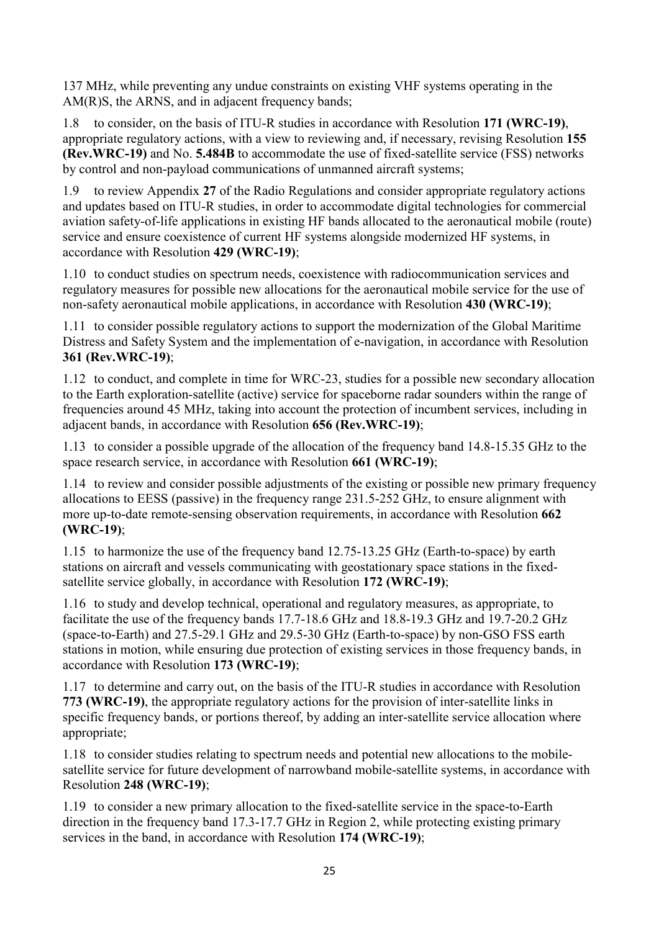137 MHz, while preventing any undue constraints on existing VHF systems operating in the AM(R)S, the ARNS, and in adjacent frequency bands;

1.8 to consider, on the basis of ITU-R studies in accordance with Resolution **171 (WRC-19)**, appropriate regulatory actions, with a view to reviewing and, if necessary, revising Resolution **155 (Rev.WRC-19)** and No. **5.484B** to accommodate the use of fixed-satellite service (FSS) networks by control and non-payload communications of unmanned aircraft systems;

1.9 to review Appendix **27** of the Radio Regulations and consider appropriate regulatory actions and updates based on ITU-R studies, in order to accommodate digital technologies for commercial aviation safety-of-life applications in existing HF bands allocated to the aeronautical mobile (route) service and ensure coexistence of current HF systems alongside modernized HF systems, in accordance with Resolution **429 (WRC-19)**;

1.10 to conduct studies on spectrum needs, coexistence with radiocommunication services and regulatory measures for possible new allocations for the aeronautical mobile service for the use of non-safety aeronautical mobile applications, in accordance with Resolution **430 (WRC-19)**;

1.11 to consider possible regulatory actions to support the modernization of the Global Maritime Distress and Safety System and the implementation of e-navigation, in accordance with Resolution **361 (Rev.WRC-19)**;

1.12 to conduct, and complete in time for WRC-23, studies for a possible new secondary allocation to the Earth exploration-satellite (active) service for spaceborne radar sounders within the range of frequencies around 45 MHz, taking into account the protection of incumbent services, including in adjacent bands, in accordance with Resolution **656 (Rev.WRC-19)**;

1.13 to consider a possible upgrade of the allocation of the frequency band 14.8-15.35 GHz to the space research service, in accordance with Resolution **661 (WRC-19)**;

1.14 to review and consider possible adjustments of the existing or possible new primary frequency allocations to EESS (passive) in the frequency range 231.5-252 GHz, to ensure alignment with more up-to-date remote-sensing observation requirements, in accordance with Resolution **662 (WRC-19)**;

1.15 to harmonize the use of the frequency band 12.75-13.25 GHz (Earth-to-space) by earth stations on aircraft and vessels communicating with geostationary space stations in the fixedsatellite service globally, in accordance with Resolution **172 (WRC-19)**;

1.16 to study and develop technical, operational and regulatory measures, as appropriate, to facilitate the use of the frequency bands 17.7-18.6 GHz and 18.8-19.3 GHz and 19.7-20.2 GHz (space-to-Earth) and 27.5-29.1 GHz and 29.5-30 GHz (Earth-to-space) by non-GSO FSS earth stations in motion, while ensuring due protection of existing services in those frequency bands, in accordance with Resolution **173 (WRC-19)**;

1.17 to determine and carry out, on the basis of the ITU-R studies in accordance with Resolution **773 (WRC-19)**, the appropriate regulatory actions for the provision of inter-satellite links in specific frequency bands, or portions thereof, by adding an inter-satellite service allocation where appropriate;

1.18 to consider studies relating to spectrum needs and potential new allocations to the mobilesatellite service for future development of narrowband mobile-satellite systems, in accordance with Resolution **248 (WRC-19)**;

1.19 to consider a new primary allocation to the fixed-satellite service in the space-to-Earth direction in the frequency band 17.3-17.7 GHz in Region 2, while protecting existing primary services in the band, in accordance with Resolution **174 (WRC-19)**;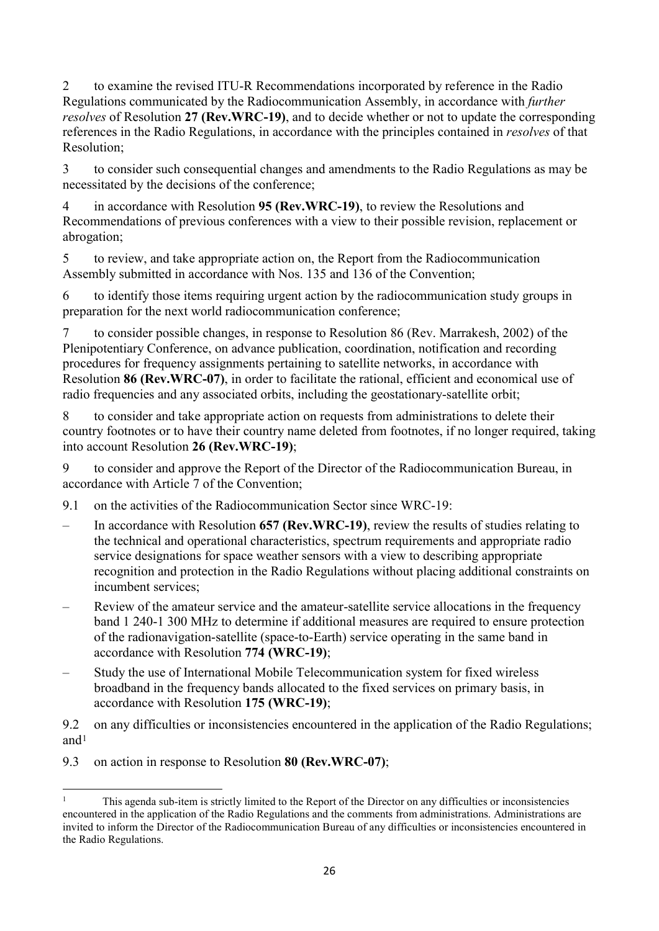2 to examine the revised ITU-R Recommendations incorporated by reference in the Radio Regulations communicated by the Radiocommunication Assembly, in accordance with *further resolves* of Resolution **27 (Rev.WRC-19)**, and to decide whether or not to update the corresponding references in the Radio Regulations, in accordance with the principles contained in *resolves* of that Resolution;

3 to consider such consequential changes and amendments to the Radio Regulations as may be necessitated by the decisions of the conference;

4 in accordance with Resolution **95 (Rev.WRC-19)**, to review the Resolutions and Recommendations of previous conferences with a view to their possible revision, replacement or abrogation;

5 to review, and take appropriate action on, the Report from the Radiocommunication Assembly submitted in accordance with Nos. 135 and 136 of the Convention;

6 to identify those items requiring urgent action by the radiocommunication study groups in preparation for the next world radiocommunication conference;

7 to consider possible changes, in response to Resolution 86 (Rev. Marrakesh, 2002) of the Plenipotentiary Conference, on advance publication, coordination, notification and recording procedures for frequency assignments pertaining to satellite networks, in accordance with Resolution **86 (Rev.WRC-07)**, in order to facilitate the rational, efficient and economical use of radio frequencies and any associated orbits, including the geostationary-satellite orbit;

8 to consider and take appropriate action on requests from administrations to delete their country footnotes or to have their country name deleted from footnotes, if no longer required, taking into account Resolution **26 (Rev.WRC-19)**;

9 to consider and approve the Report of the Director of the Radiocommunication Bureau, in accordance with Article 7 of the Convention;

9.1 on the activities of the Radiocommunication Sector since WRC-19:

- In accordance with Resolution **657 (Rev.WRC-19)**, review the results of studies relating to the technical and operational characteristics, spectrum requirements and appropriate radio service designations for space weather sensors with a view to describing appropriate recognition and protection in the Radio Regulations without placing additional constraints on incumbent services;
- Review of the amateur service and the amateur-satellite service allocations in the frequency band 1 240-1 300 MHz to determine if additional measures are required to ensure protection of the radionavigation-satellite (space-to-Earth) service operating in the same band in accordance with Resolution **774 (WRC-19)**;
- Study the use of International Mobile Telecommunication system for fixed wireless broadband in the frequency bands allocated to the fixed services on primary basis, in accordance with Resolution **175 (WRC-19)**;

9.2 on any difficulties or inconsistencies encountered in the application of the Radio Regulations; and[1](#page-25-0)

9.3 on action in response to Resolution **80 (Rev.WRC-07)**;

<span id="page-25-0"></span> $\mathbf{1}$ <sup>1</sup> This agenda sub-item is strictly limited to the Report of the Director on any difficulties or inconsistencies encountered in the application of the Radio Regulations and the comments from administrations. Administrations are invited to inform the Director of the Radiocommunication Bureau of any difficulties or inconsistencies encountered in the Radio Regulations.